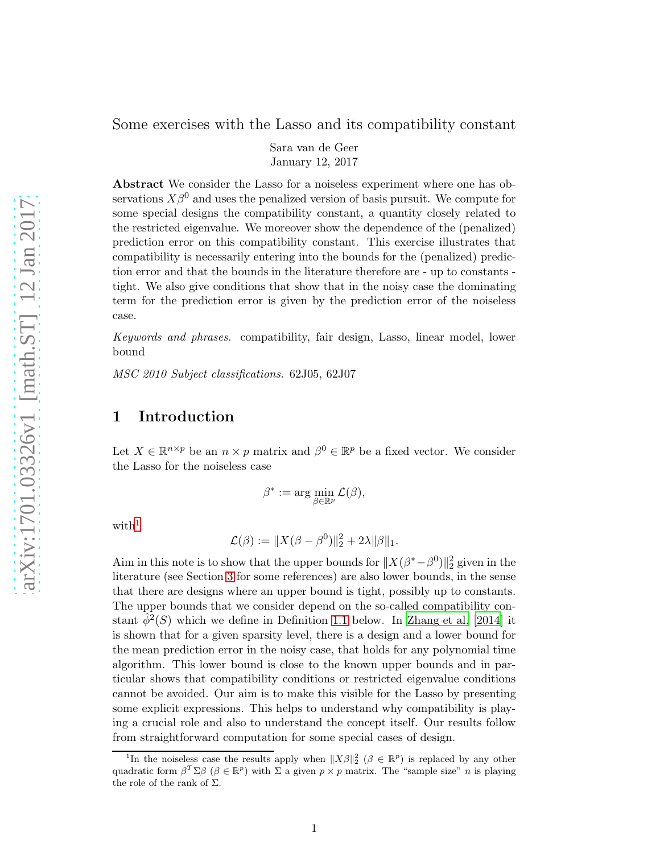Some exercises with the Lasso and its compatibility constant

Sara van de Geer January 12, 2017

Abstract We consider the Lasso for a noiseless experiment where one has observations  $X\beta^0$  and uses the penalized version of basis pursuit. We compute for some special designs the compatibility constant, a quantity closely related to the restricted eigenvalue. We moreover show the dependence of the (penalized) prediction error on this compatibility constant. This exercise illustrates that compatibility is necessarily entering into the bounds for the (penalized) prediction error and that the bounds in the literature therefore are - up to constants tight. We also give conditions that show that in the noisy case the dominating term for the prediction error is given by the prediction error of the noiseless case.

Keywords and phrases. compatibility, fair design, Lasso, linear model, lower bound

MSC 2010 Subject classifications. 62J05, 62J07

## 1 Introduction

Let  $X \in \mathbb{R}^{n \times p}$  be an  $n \times p$  matrix and  $\beta^0 \in \mathbb{R}^p$  be a fixed vector. We consider the Lasso for the noiseless case

$$
\beta^* := \arg\min_{\beta \in \mathbb{R}^p} \mathcal{L}(\beta),
$$

 $with<sup>1</sup>$  $with<sup>1</sup>$  $with<sup>1</sup>$ 

$$
\mathcal{L}(\beta) := \|X(\beta - \beta^0)\|_2^2 + 2\lambda \|\beta\|_1.
$$

Aim in this note is to show that the upper bounds for  $||X(\beta^*-\beta^0)||_2^2$  given in the literature (see Section [3](#page-4-0) for some references) are also lower bounds, in the sense that there are designs where an upper bound is tight, possibly up to constants. The upper bounds that we consider depend on the so-called compatibility constant  $\hat{\phi}^2(S)$  which we define in Definition [1.1](#page-1-0) below. In [Zhang et al. \[2014](#page-33-0)] it is shown that for a given sparsity level, there is a design and a lower bound for the mean prediction error in the noisy case, that holds for any polynomial time algorithm. This lower bound is close to the known upper bounds and in particular shows that compatibility conditions or restricted eigenvalue conditions cannot be avoided. Our aim is to make this visible for the Lasso by presenting some explicit expressions. This helps to understand why compatibility is playing a crucial role and also to understand the concept itself. Our results follow from straightforward computation for some special cases of design.

<span id="page-0-0"></span><sup>&</sup>lt;sup>1</sup>In the noiseless case the results apply when  $||X\beta||_2^2$  ( $\beta \in \mathbb{R}^p$ ) is replaced by any other quadratic form  $\beta^T \Sigma \beta$  ( $\beta \in \mathbb{R}^p$ ) with  $\Sigma$  a given  $p \times p$  matrix. The "sample size" *n* is playing the role of the rank of  $\Sigma$ .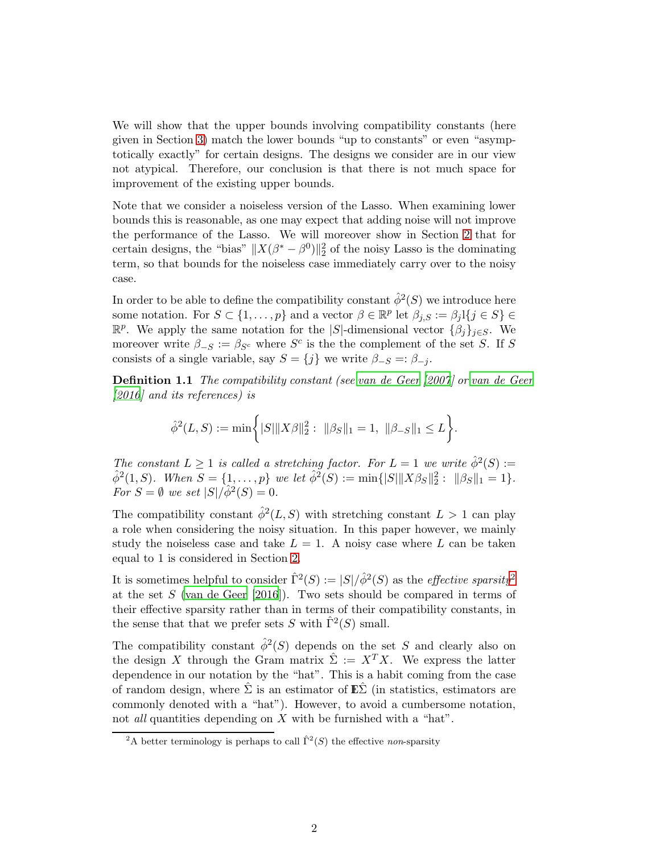We will show that the upper bounds involving compatibility constants (here given in Section [3\)](#page-4-0) match the lower bounds "up to constants" or even "asymptotically exactly" for certain designs. The designs we consider are in our view not atypical. Therefore, our conclusion is that there is not much space for improvement of the existing upper bounds.

Note that we consider a noiseless version of the Lasso. When examining lower bounds this is reasonable, as one may expect that adding noise will not improve the performance of the Lasso. We will moreover show in Section [2](#page-3-0) that for certain designs, the "bias"  $||X(\beta^* - \beta^0)||_2^2$  of the noisy Lasso is the dominating term, so that bounds for the noiseless case immediately carry over to the noisy case.

In order to be able to define the compatibility constant  $\hat{\phi}^2(S)$  we introduce here some notation. For  $S \subset \{1, \ldots, p\}$  and a vector  $\beta \in \mathbb{R}^p$  let  $\beta_{j,S} := \beta_j \mathbb{1}\{j \in S\} \in$  $\mathbb{R}^p$ . We apply the same notation for the |S|-dimensional vector  $\{\beta_j\}_{j\in S}$ . We moreover write  $\beta_{-S} := \beta_{S^c}$  where  $S^c$  is the the complement of the set S. If S consists of a single variable, say  $S = \{j\}$  we write  $\beta_{-S} =: \beta_{-j}$ .

<span id="page-1-0"></span>Definition 1.1 The compatibility constant (see [van de Geer \[2007](#page-33-1)] or [van de Geer](#page-32-0) [\[2016](#page-32-0)] and its references) is

$$
\hat{\phi}^2(L, S) := \min \biggl\{ |S| \|X\beta\|_2^2: \ \| \beta_S \|_1 = 1, \ \| \beta_{-S} \|_1 \leq L \biggr\}.
$$

The constant  $L \geq 1$  is called a stretching factor. For  $L = 1$  we write  $\hat{\phi}^2(S) :=$  $\hat{\phi}^2(1, S)$ . When  $S = \{1, \ldots, p\}$  we let  $\hat{\phi}^2(S) := \min\{|S| \|X\beta_S\|_2^2 : \| \beta_S \|_1 = 1\}.$ For  $S = \emptyset$  we set  $|S|/\hat{\phi}^2(S) = 0$ .

The compatibility constant  $\hat{\phi}^2(L, S)$  with stretching constant  $L > 1$  can play a role when considering the noisy situation. In this paper however, we mainly study the noiseless case and take  $L = 1$ . A noisy case where L can be taken equal to 1 is considered in Section [2.](#page-3-0)

It is sometimes helpful to consider  $\hat{\Gamma}^2(S) := |S|/\hat{\phi}^2(S)$  $\hat{\Gamma}^2(S) := |S|/\hat{\phi}^2(S)$  $\hat{\Gamma}^2(S) := |S|/\hat{\phi}^2(S)$  as the *effective sparsity*<sup>2</sup> at the set  $S$  [\(van de Geer \[2016](#page-32-0)]). Two sets should be compared in terms of their effective sparsity rather than in terms of their compatibility constants, in the sense that that we prefer sets S with  $\hat{\Gamma}^2(S)$  small.

The compatibility constant  $\hat{\phi}^2(S)$  depends on the set S and clearly also on the design X through the Gram matrix  $\hat{\Sigma} := X^T X$ . We express the latter dependence in our notation by the "hat". This is a habit coming from the case of random design, where  $\Sigma$  is an estimator of  $\mathbb{E}\Sigma$  (in statistics, estimators are commonly denoted with a "hat"). However, to avoid a cumbersome notation, not *all* quantities depending on X with be furnished with a "hat".

<span id="page-1-1"></span><sup>&</sup>lt;sup>2</sup>A better terminology is perhaps to call  $\hat{\Gamma}^2(S)$  the effective non-sparsity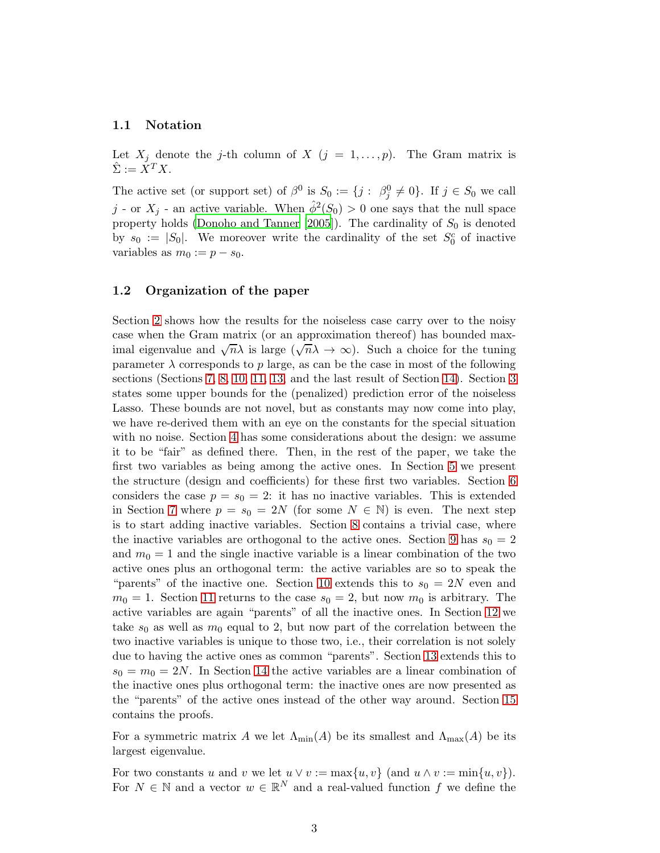#### 1.1 Notation

Let  $X_j$  denote the j-th column of X  $(j = 1, \ldots, p)$ . The Gram matrix is  $\label{eq:Sigma} \hat{\Sigma} := \check{X}^T X.$ 

The active set (or support set) of  $\beta^0$  is  $S_0 := \{j : \beta_j^0 \neq 0\}$ . If  $j \in S_0$  we call j - or  $X_j$  - an active variable. When  $\hat{\phi}^2(S_0) > 0$  one says that the null space property holds [\(Donoho and Tanner \[2005\]](#page-32-1)). The cardinality of  $S_0$  is denoted by  $s_0 := |S_0|$ . We moreover write the cardinality of the set  $S_0^c$  of inactive variables as  $m_0 := p - s_0$ .

#### 1.2 Organization of the paper

Section [2](#page-3-0) shows how the results for the noiseless case carry over to the noisy case when the Gram matrix (or an approximation thereof) has bounded maximal eigenvalue and  $\sqrt{n}\lambda$  is large  $(\sqrt{n}\lambda \to \infty)$ . Such a choice for the tuning parameter  $\lambda$  corresponds to p large, as can be the case in most of the following sections (Sections [7,](#page-8-0) [8,](#page-9-0) [10,](#page-11-0) [11,](#page-12-0) [13,](#page-14-0) and the last result of Section [14\)](#page-14-1). Section [3](#page-4-0) states some upper bounds for the (penalized) prediction error of the noiseless Lasso. These bounds are not novel, but as constants may now come into play, we have re-derived them with an eye on the constants for the special situation with no noise. Section [4](#page-6-0) has some considerations about the design: we assume it to be "fair" as defined there. Then, in the rest of the paper, we take the first two variables as being among the active ones. In Section [5](#page-6-1) we present the structure (design and coefficients) for these first two variables. Section [6](#page-7-0) considers the case  $p = s_0 = 2$ : it has no inactive variables. This is extended in Section [7](#page-8-0) where  $p = s_0 = 2N$  (for some  $N \in \mathbb{N}$ ) is even. The next step is to start adding inactive variables. Section [8](#page-9-0) contains a trivial case, where the inactive variables are orthogonal to the active ones. Section [9](#page-10-0) has  $s_0 = 2$ and  $m_0 = 1$  and the single inactive variable is a linear combination of the two active ones plus an orthogonal term: the active variables are so to speak the "parents" of the inactive one. Section [10](#page-11-0) extends this to  $s_0 = 2N$  even and  $m_0 = 1$ . Section [11](#page-12-0) returns to the case  $s_0 = 2$ , but now  $m_0$  is arbitrary. The active variables are again "parents" of all the inactive ones. In Section [12](#page-12-1) we take  $s_0$  as well as  $m_0$  equal to 2, but now part of the correlation between the two inactive variables is unique to those two, i.e., their correlation is not solely due to having the active ones as common "parents". Section [13](#page-14-0) extends this to  $s_0 = m_0 = 2N$ . In Section [14](#page-14-1) the active variables are a linear combination of the inactive ones plus orthogonal term: the inactive ones are now presented as the "parents" of the active ones instead of the other way around. Section [15](#page-17-0) contains the proofs.

For a symmetric matrix A we let  $\Lambda_{\text{min}}(A)$  be its smallest and  $\Lambda_{\text{max}}(A)$  be its largest eigenvalue.

For two constants u and v we let  $u \vee v := \max\{u, v\}$  (and  $u \wedge v := \min\{u, v\}$ ). For  $N \in \mathbb{N}$  and a vector  $w \in \mathbb{R}^N$  and a real-valued function f we define the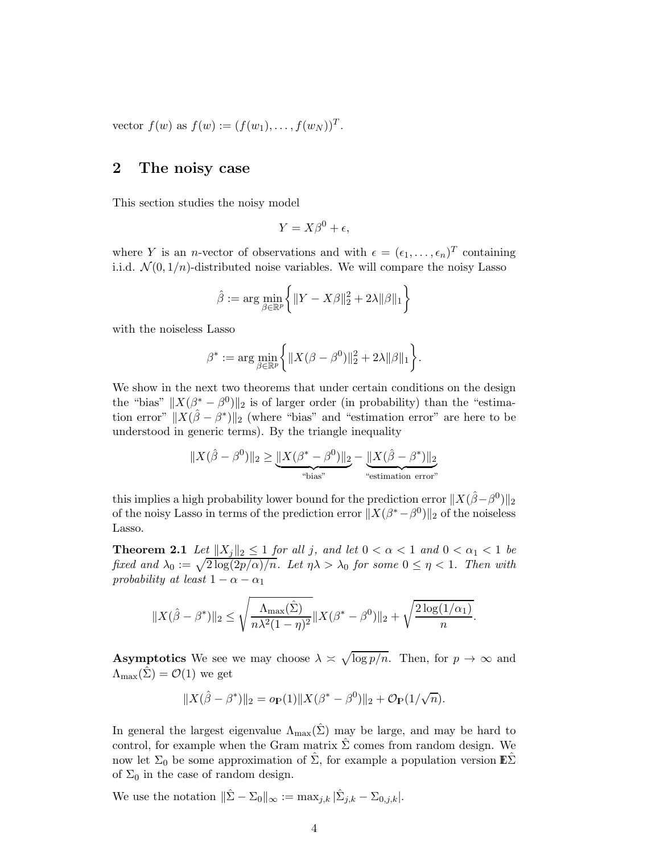<span id="page-3-0"></span>vector  $f(w)$  as  $f(w) := (f(w_1), \ldots, f(w_N))^T$ .

### 2 The noisy case

This section studies the noisy model

$$
Y = X\beta^0 + \epsilon,
$$

where Y is an *n*-vector of observations and with  $\epsilon = (\epsilon_1, \ldots, \epsilon_n)^T$  containing i.i.d.  $\mathcal{N}(0, 1/n)$ -distributed noise variables. We will compare the noisy Lasso

$$
\hat{\beta} := \arg \min_{\beta \in \mathbb{R}^p} \left\{ \|Y - X\beta\|_2^2 + 2\lambda \|\beta\|_1 \right\}
$$

with the noiseless Lasso

$$
\beta^* := \arg \min_{\beta \in \mathbb{R}^p} \bigg\{ \|X(\beta - \beta^0)\|_2^2 + 2\lambda \|\beta\|_1 \bigg\}.
$$

We show in the next two theorems that under certain conditions on the design the "bias"  $||X(\beta^* - \beta^0)||_2$  is of larger order (in probability) than the "estimation error"  $||X(\hat{\beta} - \beta^*)||_2$  (where "bias" and "estimation error" are here to be understood in generic terms). By the triangle inequality

$$
||X(\hat{\beta} - \beta^0)||_2 \ge \underbrace{||X(\beta^* - \beta^0)||_2}_{\text{``bias''}} - \underbrace{||X(\hat{\beta} - \beta^*)||_2}_{\text{``estimation error''}}
$$

this implies a high probability lower bound for the prediction error  $||X(\hat{\beta}-\beta^0)||_2$ of the noisy Lasso in terms of the prediction error  $||X(\beta^*-\beta^0)||_2$  of the noiseless Lasso.

<span id="page-3-1"></span>**Theorem 2.1** Let  $||X_j||_2 \leq 1$  for all j, and let  $0 < \alpha < 1$  and  $0 < \alpha_1 < 1$  be fixed and  $\lambda_0 := \sqrt{2 \log(2p/\alpha)/n}$ . Let  $\eta \lambda > \lambda_0$  for some  $0 \leq \eta < 1$ . Then with probability at least  $1 - \alpha - \alpha_1$ 

$$
||X(\hat{\beta} - \beta^*)||_2 \le \sqrt{\frac{\Lambda_{\max}(\hat{\Sigma})}{n\lambda^2(1-\eta)^2}} ||X(\beta^* - \beta^0)||_2 + \sqrt{\frac{2\log(1/\alpha_1)}{n}}.
$$

**Asymptotics** We see we may choose  $\lambda \approx \sqrt{\log p/n}$ . Then, for  $p \to \infty$  and  $\Lambda_{\text{max}}(\Sigma) = \mathcal{O}(1)$  we get

$$
||X(\hat{\beta} - \beta^*)||_2 = o_P(1)||X(\beta^* - \beta^0)||_2 + O_P(1/\sqrt{n}).
$$

In general the largest eigenvalue  $\Lambda_{\text{max}}(\hat{\Sigma})$  may be large, and may be hard to control, for example when the Gram matrix  $\hat{\Sigma}$  comes from random design. We now let  $\Sigma_0$  be some approximation of  $\hat{\Sigma}$ , for example a population version  $\mathbb{E} \hat{\Sigma}$ of  $\Sigma_0$  in the case of random design.

<span id="page-3-2"></span>We use the notation  $\|\hat{\Sigma} - \Sigma_0\|_{\infty} := \max_{j,k} |\hat{\Sigma}_{j,k} - \Sigma_{0,j,k}|.$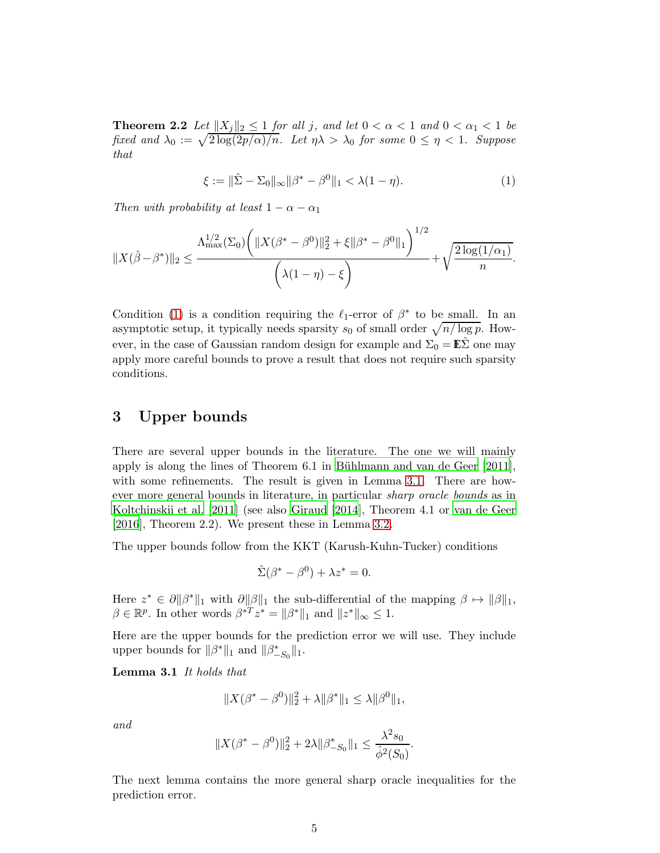**Theorem 2.2** Let  $||X_i||_2 \leq 1$  for all j, and let  $0 < \alpha < 1$  and  $0 < \alpha_1 < 1$  be fixed and  $\lambda_0 := \sqrt{2 \log(2p/\alpha)/n}$ . Let  $\eta \lambda > \lambda_0$  for some  $0 \leq \eta < 1$ . Suppose that

<span id="page-4-1"></span>
$$
\xi := \|\hat{\Sigma} - \Sigma_0\|_{\infty} \|\beta^* - \beta^0\|_1 < \lambda(1 - \eta). \tag{1}
$$

Then with probability at least  $1 - \alpha - \alpha_1$ 

$$
||X(\hat{\beta}-\beta^*)||_2 \leq \frac{\Lambda_{\max}^{1/2}(\Sigma_0) \bigg(||X(\beta^*-\beta^0)||_2^2 + \xi ||\beta^*-\beta^0||_1\bigg)^{1/2}}{\bigg(\lambda(1-\eta)-\xi\bigg)} + \sqrt{\frac{2\log(1/\alpha_1)}{n}}.
$$

Condition [\(1\)](#page-4-1) is a condition requiring the  $\ell_1$ -error of  $\beta^*$  to be small. In an asymptotic setup, it typically needs sparsity  $s_0$  of small order  $\sqrt{n/\log p}$ . However, in the case of Gaussian random design for example and  $\Sigma_0 = \mathbb{E} \Sigma$  one may apply more careful bounds to prove a result that does not require such sparsity conditions.

## <span id="page-4-0"></span>3 Upper bounds

There are several upper bounds in the literature. The one we will mainly apply is along the lines of Theorem  $6.1$  in Bühlmann and van de Geer  $[2011]$ , with some refinements. The result is given in Lemma [3.1.](#page-4-2) There are however more general bounds in literature, in particular sharp oracle bounds as in [Koltchinskii et al. \[2011](#page-32-3)] (see also [Giraud \[2014](#page-32-4)], Theorem 4.1 or [van de Geer](#page-32-0) [\[2016](#page-32-0)], Theorem 2.2). We present these in Lemma [3.2.](#page-4-3)

The upper bounds follow from the KKT (Karush-Kuhn-Tucker) conditions

$$
\hat{\Sigma}(\beta^* - \beta^0) + \lambda z^* = 0.
$$

Here  $z^* \in \partial \|\beta^*\|_1$  with  $\partial \|\beta\|_1$  the sub-differential of the mapping  $\beta \mapsto \|\beta\|_1$ ,  $\beta \in \mathbb{R}^p$ . In other words  $\beta^{*T} z^* = ||\beta^*||_1$  and  $||z^*||_{\infty} \leq 1$ .

<span id="page-4-2"></span>Here are the upper bounds for the prediction error we will use. They include upper bounds for  $\|\beta^*\|_1$  and  $\|\beta^*_{-S_0}\|_1$ .

Lemma 3.1 It holds that

$$
||X(\beta^* - \beta^0)||_2^2 + \lambda ||\beta^*||_1 \le \lambda ||\beta^0||_1,
$$

and

$$
||X(\beta^*-\beta^0)||_2^2+2\lambda||\beta^*_{-S_0}||_1\leq \frac{\lambda^2s_0}{\hat{\phi}^2(S_0)}.
$$

<span id="page-4-3"></span>The next lemma contains the more general sharp oracle inequalities for the prediction error.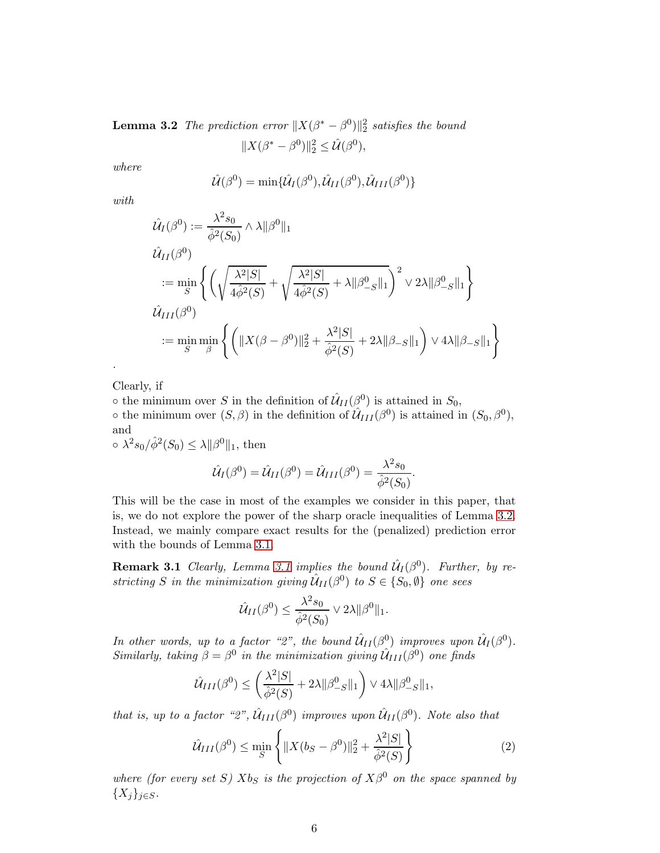**Lemma 3.2** The prediction error  $||X(\beta^* - \beta^0)||_2^2$  satisfies the bound  $||X(\beta^* - \beta^0)||_2^2 \leq \hat{\mathcal{U}}(\beta^0),$ 

where

$$
\hat{\mathcal{U}}(\beta^0) = \min{\{\hat{\mathcal{U}}_I(\beta^0), \hat{\mathcal{U}}_{II}(\beta^0), \hat{\mathcal{U}}_{III}(\beta^0)\}}
$$

with

$$
\hat{\mathcal{U}}_I(\beta^0) := \frac{\lambda^2 s_0}{\hat{\phi}^2(S_0)} \wedge \lambda \|\beta^0\|_1
$$
\n
$$
\hat{\mathcal{U}}_{II}(\beta^0)
$$
\n
$$
:= \min_{S} \left\{ \left( \sqrt{\frac{\lambda^2|S|}{4\hat{\phi}^2(S)}} + \sqrt{\frac{\lambda^2|S|}{4\hat{\phi}^2(S)}} + \lambda \|\beta^0_{-S}\|_1 \right)^2 \vee 2\lambda \|\beta^0_{-S}\|_1 \right\}
$$
\n
$$
\hat{\mathcal{U}}_{III}(\beta^0)
$$
\n
$$
:= \min_{S} \min_{\beta} \left\{ \left( \|\mathcal{X}(\beta - \beta^0)\|_2^2 + \frac{\lambda^2|S|}{\hat{\phi}^2(S)} + 2\lambda \|\beta_{-S}\|_1 \right) \vee 4\lambda \|\beta_{-S}\|_1 \right\}
$$

Clearly, if

.

 $\circ$  the minimum over S in the definition of  $\hat{\mathcal{U}}_{II}(\hat{\beta}^0)$  is attained in  $S_0$ ,  $\circ$  the minimum over  $(S, \beta)$  in the definition of  $\hat{\mathcal{U}}_{III}(\beta^0)$  is attained in  $(S_0, \beta^0)$ , and

 $\circ \lambda^2 s_0 / \hat{\phi}^2(S_0) \leq \lambda \|\beta^0\|_1$ , then

$$
\hat{\mathcal{U}}_I(\beta^0) = \hat{\mathcal{U}}_{II}(\beta^0) = \hat{\mathcal{U}}_{III}(\beta^0) = \frac{\lambda^2 s_0}{\hat{\phi}^2(S_0)}.
$$

This will be the case in most of the examples we consider in this paper, that is, we do not explore the power of the sharp oracle inequalities of Lemma [3.2.](#page-4-3) Instead, we mainly compare exact results for the (penalized) prediction error with the bounds of Lemma [3.1.](#page-4-2)

<span id="page-5-1"></span>**Remark [3.1](#page-4-2)** Clearly, Lemma 3.1 implies the bound  $\hat{U}_I(\beta^0)$ . Further, by restricting S in the minimization giving  $\hat{U}_{II}(\beta^0)$  to  $S \in \{S_0, \emptyset\}$  one sees

$$
\hat{\mathcal{U}}_{II}(\beta^0) \leq \frac{\lambda^2 s_0}{\hat{\phi}^2(S_0)} \vee 2\lambda \|\beta^0\|_1.
$$

In other words, up to a factor "2", the bound  $\hat{U}_{II}(\beta^0)$  improves upon  $\hat{U}_{I}(\beta^0)$ . Similarly, taking  $\beta = \beta^0$  in the minimization giving  $\hat{\mathcal{U}}_{III}(\beta^0)$  one finds

$$
\hat{\mathcal{U}}_{III}(\beta^0) \le \left(\frac{\lambda^2|S|}{\hat{\phi}^2(S)} + 2\lambda \|\beta^0_{-S}\|_1\right) \vee 4\lambda \|\beta^0_{-S}\|_1,
$$

that is, up to a factor "2",  $\hat{\mathcal{U}}_{III}(\beta^0)$  improves upon  $\hat{\mathcal{U}}_{II}(\beta^0)$ . Note also that

<span id="page-5-0"></span>
$$
\hat{\mathcal{U}}_{III}(\beta^0) \le \min_{S} \left\{ \|X(b_S - \beta^0)\|_2^2 + \frac{\lambda^2 |S|}{\hat{\phi}^2(S)} \right\} \tag{2}
$$

where (for every set S)  $Xb_S$  is the projection of  $X\beta^0$  on the space spanned by  ${X_j}_{j \in S}$ .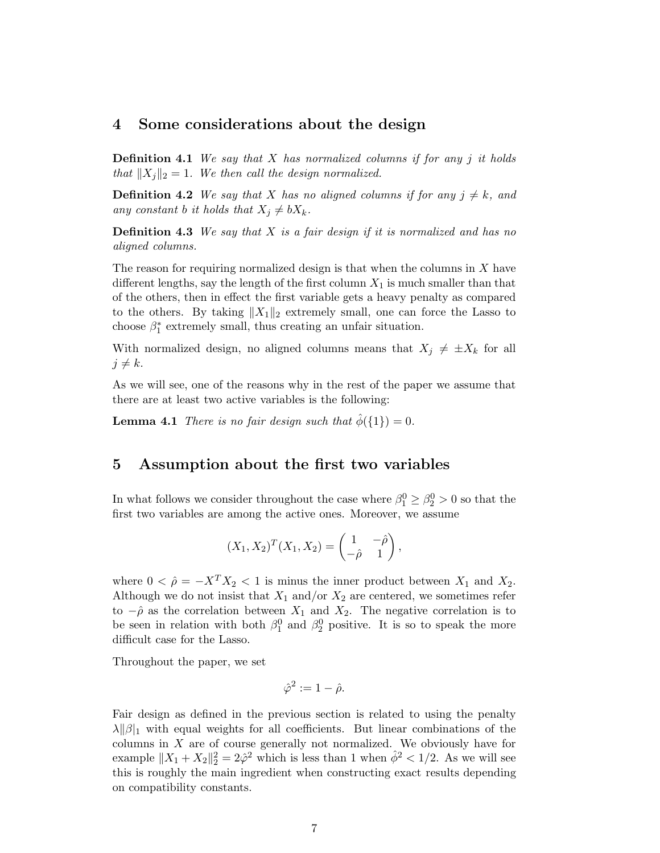### <span id="page-6-0"></span>4 Some considerations about the design

**Definition 4.1** We say that  $X$  has normalized columns if for any j it holds that  $||X_i||_2 = 1$ . We then call the design normalized.

**Definition 4.2** We say that X has no aligned columns if for any  $j \neq k$ , and any constant b it holds that  $X_j \neq bX_k$ .

**Definition 4.3** We say that  $X$  is a fair design if it is normalized and has no aligned columns.

The reason for requiring normalized design is that when the columns in  $X$  have different lengths, say the length of the first column  $X_1$  is much smaller than that of the others, then in effect the first variable gets a heavy penalty as compared to the others. By taking  $||X_1||_2$  extremely small, one can force the Lasso to choose  $\beta_1^*$  extremely small, thus creating an unfair situation.

With normalized design, no aligned columns means that  $X_j \neq \pm X_k$  for all  $j \neq k$ .

<span id="page-6-2"></span>As we will see, one of the reasons why in the rest of the paper we assume that there are at least two active variables is the following:

<span id="page-6-1"></span>**Lemma 4.1** There is no fair design such that  $\hat{\phi}(\{1\}) = 0$ .

### 5 Assumption about the first two variables

In what follows we consider throughout the case where  $\beta_1^0 \geq \beta_2^0 > 0$  so that the first two variables are among the active ones. Moreover, we assume

$$
(X_1, X_2)^T (X_1, X_2) = \begin{pmatrix} 1 & -\hat{\rho} \\ -\hat{\rho} & 1 \end{pmatrix},
$$

where  $0 < \hat{\rho} = -X^T X_2 < 1$  is minus the inner product between  $X_1$  and  $X_2$ . Although we do not insist that  $X_1$  and/or  $X_2$  are centered, we sometimes refer to  $-\hat{\rho}$  as the correlation between  $X_1$  and  $X_2$ . The negative correlation is to be seen in relation with both  $\beta_1^0$  and  $\beta_2^0$  positive. It is so to speak the more difficult case for the Lasso.

Throughout the paper, we set

$$
\hat{\varphi}^2 := 1 - \hat{\rho}.
$$

Fair design as defined in the previous section is related to using the penalty  $\lambda$ || $\beta$ |<sub>1</sub> with equal weights for all coefficients. But linear combinations of the columns in  $X$  are of course generally not normalized. We obviously have for example  $||X_1 + X_2||_2^2 = 2\hat{\varphi}^2$  which is less than 1 when  $\hat{\phi}^2 < 1/2$ . As we will see this is roughly the main ingredient when constructing exact results depending on compatibility constants.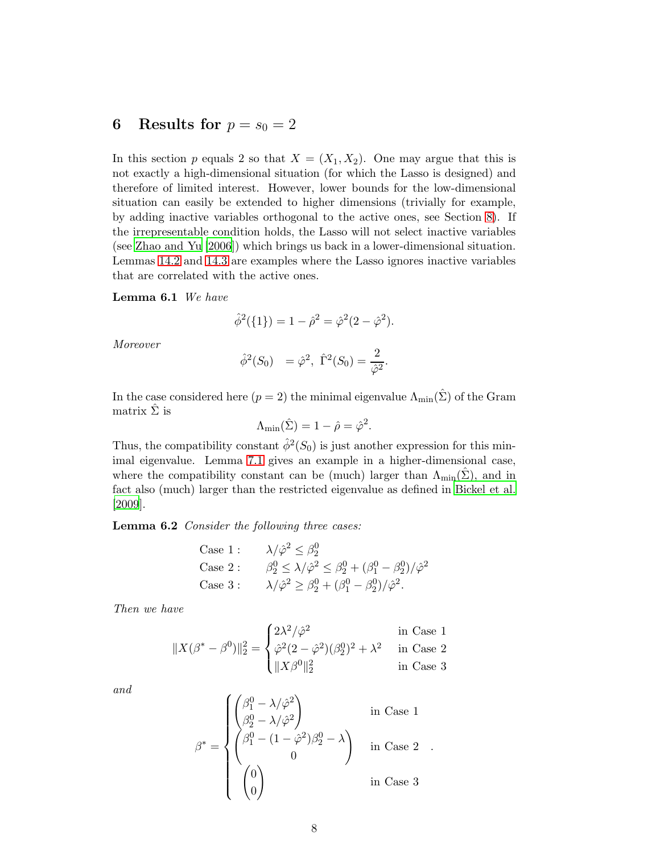# <span id="page-7-0"></span>6 Results for  $p = s_0 = 2$

In this section p equals 2 so that  $X = (X_1, X_2)$ . One may argue that this is not exactly a high-dimensional situation (for which the Lasso is designed) and therefore of limited interest. However, lower bounds for the low-dimensional situation can easily be extended to higher dimensions (trivially for example, by adding inactive variables orthogonal to the active ones, see Section [8\)](#page-9-0). If the irrepresentable condition holds, the Lasso will not select inactive variables (see [Zhao and Yu \[2006](#page-33-2)]) which brings us back in a lower-dimensional situation. Lemmas [14.2](#page-15-0) and [14.3](#page-16-0) are examples where the Lasso ignores inactive variables that are correlated with the active ones.

#### <span id="page-7-2"></span>Lemma 6.1 We have

$$
\hat{\phi}^2(\{1\}) = 1 - \hat{\rho}^2 = \hat{\varphi}^2(2 - \hat{\varphi}^2).
$$

Moreover

$$
\hat{\phi}^2(S_0) = \hat{\varphi}^2
$$
,  $\hat{\Gamma}^2(S_0) = \frac{2}{\hat{\varphi}^2}$ .

In the case considered here  $(p = 2)$  the minimal eigenvalue  $\Lambda_{\text{min}}(\hat{\Sigma})$  of the Gram matrix  $\hat{\Sigma}$  is

$$
\Lambda_{\min}(\hat{\Sigma}) = 1 - \hat{\rho} = \hat{\varphi}^2.
$$

Thus, the compatibility constant  $\hat{\phi}^2(S_0)$  is just another expression for this minimal eigenvalue. Lemma [7.1](#page-8-1) gives an example in a higher-dimensional case, where the compatibility constant can be (much) larger than  $\Lambda_{\text{min}}(\Sigma)$ , and in fact also (much) larger than the restricted eigenvalue as defined in [Bickel et al.](#page-32-5) [\[2009](#page-32-5)].

<span id="page-7-1"></span>Lemma 6.2 Consider the following three cases:

Case 1 : 
$$
\lambda/\hat{\varphi}^2 \leq \beta_2^0
$$
  
\nCase 2 :  $\beta_2^0 \leq \lambda/\hat{\varphi}^2 \leq \beta_2^0 + (\beta_1^0 - \beta_2^0)/\hat{\varphi}^2$   
\nCase 3 :  $\lambda/\hat{\varphi}^2 \geq \beta_2^0 + (\beta_1^0 - \beta_2^0)/\hat{\varphi}^2$ .

Then we have

$$
||X(\beta^* - \beta^0)||_2^2 = \begin{cases} 2\lambda^2/\hat{\varphi}^2 & \text{in Case 1} \\ \hat{\varphi}^2(2-\hat{\varphi}^2)(\beta_2^0)^2 + \lambda^2 & \text{in Case 2} \\ ||X\beta^0||_2^2 & \text{in Case 3} \end{cases}
$$

and

$$
\beta^* = \begin{cases}\n\begin{pmatrix}\n\beta_1^0 - \lambda/\hat{\varphi}^2 \\
\beta_2^0 - \lambda/\hat{\varphi}^2\n\end{pmatrix} & \text{in Case 1} \\
\begin{pmatrix}\n\beta_1^0 - (1 - \hat{\varphi}^2)\beta_2^0 - \lambda \\
0\n\end{pmatrix} & \text{in Case 2} \\
\begin{pmatrix}\n0 \\
0\n\end{pmatrix} & \text{in Case 3}\n\end{cases}
$$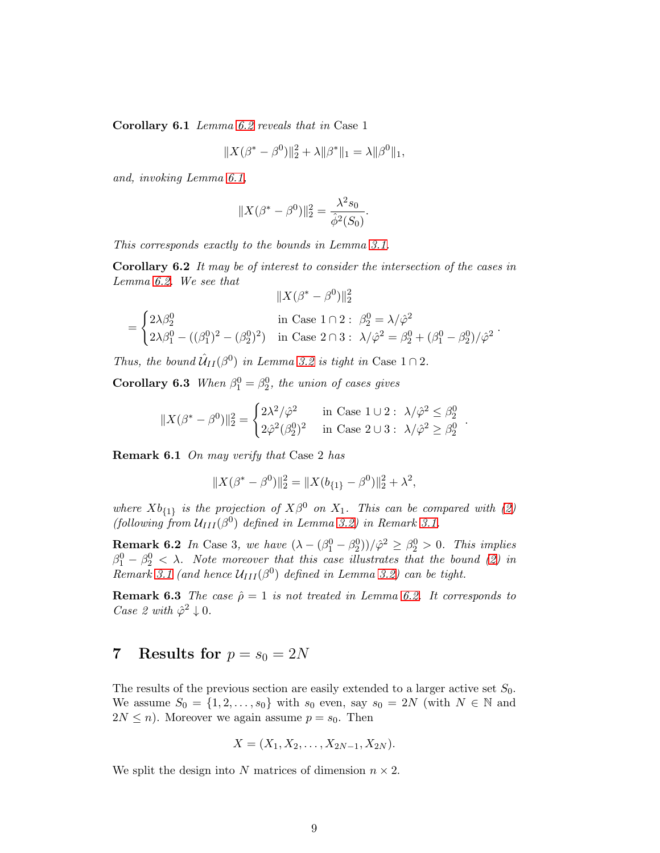Corollary 6.1 Lemma [6.2](#page-7-1) reveals that in Case 1

$$
||X(\beta^* - \beta^0)||_2^2 + \lambda ||\beta^*||_1 = \lambda ||\beta^0||_1,
$$

and, invoking Lemma [6.1,](#page-7-2)

$$
||X(\beta^* - \beta^0)||_2^2 = \frac{\lambda^2 s_0}{\hat{\phi}^2(S_0)}.
$$

This corresponds exactly to the bounds in Lemma [3.1.](#page-4-2)

Corollary 6.2 It may be of interest to consider the intersection of the cases in Lemma [6.2.](#page-7-1) We see that

$$
||X(\beta^* - \beta^0)||_2^2
$$
  
= 
$$
\begin{cases} 2\lambda\beta_2^0 & \text{in Case } 1 \cap 2: \ \beta_2^0 = \lambda/\hat{\varphi}^2 \\ 2\lambda\beta_1^0 - ((\beta_1^0)^2 - (\beta_2^0)^2) & \text{in Case } 2 \cap 3: \ \lambda/\hat{\varphi}^2 = \beta_2^0 + (\beta_1^0 - \beta_2^0)/\hat{\varphi}^2 \end{cases}
$$

Thus, the bound  $\hat{U}_{II}(\beta^0)$  in Lemma [3.2](#page-4-3) is tight in Case  $1 \cap 2$ .

**Corollary 6.3** When  $\beta_1^0 = \beta_2^0$ , the union of cases gives

$$
||X(\beta^* - \beta^0)||_2^2 = \begin{cases} 2\lambda^2/\hat{\varphi}^2 & \text{in Case 1} \cup 2: \ \lambda/\hat{\varphi}^2 \le \beta_2^0 \\ 2\hat{\varphi}^2(\beta_2^0)^2 & \text{in Case 2} \cup 3: \ \lambda/\hat{\varphi}^2 \ge \beta_2^0 \end{cases}
$$

.

Remark 6.1 On may verify that Case 2 has

$$
||X(\beta^* - \beta^0)||_2^2 = ||X(b_{\{1\}} - \beta^0)||_2^2 + \lambda^2,
$$

where  $Xb_{\{1\}}$  is the projection of  $X\beta^0$  on  $X_1$ . This can be compared with [\(2\)](#page-5-0) (following from  $U_{III}(\beta^0)$  defined in Lemma [3.2\)](#page-4-3) in Remark [3.1.](#page-5-1)

**Remark 6.2** In Case 3, we have  $(\lambda - (\beta_1^0 - \beta_2^0))/\hat{\varphi}^2 \ge \beta_2^0 > 0$ . This implies  $\beta_1^0 - \beta_2^0 < \lambda$ . Note moreover that this case illustrates that the bound [\(2\)](#page-5-0) in Remark [3.1](#page-5-1) (and hence  $U_{III}(\beta^0)$  defined in Lemma [3.2\)](#page-4-3) can be tight.

**Remark 6.3** The case  $\hat{\rho} = 1$  is not treated in Lemma [6.2.](#page-7-1) It corresponds to Case 2 with  $\hat{\varphi}^2 \downarrow 0$ .

# <span id="page-8-0"></span>7 Results for  $p = s_0 = 2N$

The results of the previous section are easily extended to a larger active set  $S_0$ . We assume  $S_0 = \{1, 2, \ldots, s_0\}$  with  $s_0$  even, say  $s_0 = 2N$  (with  $N \in \mathbb{N}$  and  $2N \leq n$ ). Moreover we again assume  $p = s_0$ . Then

$$
X = (X_1, X_2, \ldots, X_{2N-1}, X_{2N}).
$$

<span id="page-8-1"></span>We split the design into N matrices of dimension  $n \times 2$ .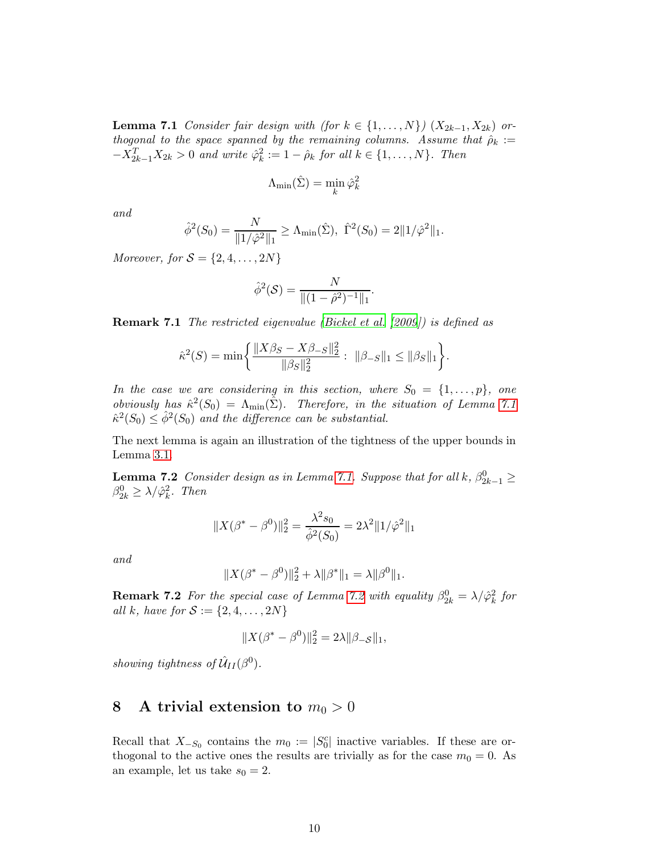**Lemma 7.1** Consider fair design with (for  $k \in \{1, ..., N\}$ )  $(X_{2k-1}, X_{2k})$  orthogonal to the space spanned by the remaining columns. Assume that  $\hat{\rho}_k :=$  $-X_{2k-1}^T X_{2k} > 0$  and write  $\hat{\varphi}_k^2$  $k^2 = 1 - \hat{\rho}_k$  for all  $k \in \{1, \ldots, N\}$ . Then

$$
\Lambda_{\min}(\hat{\Sigma}) = \min_{k} \hat{\varphi}_{k}^{2}
$$

and

$$
\hat{\phi}^2(S_0) = \frac{N}{\|1/\hat{\varphi}^2\|_1} \ge \Lambda_{\min}(\hat{\Sigma}), \ \hat{\Gamma}^2(S_0) = 2\|1/\hat{\varphi}^2\|_1.
$$

Moreover, for  $S = \{2, 4, \ldots, 2N\}$ 

$$
\hat{\phi}^2(\mathcal{S}) = \frac{N}{\|(1-\hat{\rho}^2)^{-1}\|_1}.
$$

Remark 7.1 The restricted eigenvalue [\(Bickel et al. \[2009](#page-32-5)]) is defined as

$$
\hat{\kappa}^{2}(S) = \min \bigg\{ \frac{\|X\beta_{S} - X\beta_{-S}\|_{2}^{2}}{\|\beta_{S}\|_{2}^{2}} : \|\beta_{-S}\|_{1} \le \|\beta_{S}\|_{1} \bigg\}.
$$

In the case we are considering in this section, where  $S_0 = \{1, \ldots, p\}$ , one obviously has  $\hat{\kappa}^2(S_0) = \Lambda_{\min}(\hat{\Sigma})$ . Therefore, in the situation of Lemma [7.1](#page-8-1)  $\hat{\kappa}^2(S_0) \leq \hat{\phi}^2(S_0)$  and the difference can be substantial.

<span id="page-9-1"></span>The next lemma is again an illustration of the tightness of the upper bounds in Lemma [3.1.](#page-4-2)

**Lemma 7.2** Consider design as in Lemma [7.1.](#page-8-1) Suppose that for all k,  $\beta_{2k-1}^0 \geq$  $\beta_{2k}^0 \geq \lambda / \hat{\varphi}_k^2$  $\frac{2}{k}$ . Then

$$
||X(\beta^* - \beta^0)||_2^2 = \frac{\lambda^2 s_0}{\hat{\phi}^2(S_0)} = 2\lambda^2 ||1/\hat{\phi}^2||_1
$$

and

$$
||X(\beta^* - \beta^0)||_2^2 + \lambda ||\beta^*||_1 = \lambda ||\beta^0||_1.
$$

**Remark [7.2](#page-9-1)** For the special case of Lemma 7.2 with equality  $\beta_{2k}^0 = \lambda / \hat{\varphi}_k^2$  $\frac{2}{k}$  for all k, have for  $S := \{2, 4, ..., 2N\}$ 

$$
||X(\beta^* - \beta^0)||_2^2 = 2\lambda ||\beta_{-\mathcal{S}}||_1,
$$

<span id="page-9-0"></span>showing tightness of  $\hat{\mathcal{U}}_{II}(\beta^0)$ .

# 8 A trivial extension to  $m_0 > 0$

<span id="page-9-2"></span>Recall that  $X_{-S_0}$  contains the  $m_0 := |S_0^c|$  inactive variables. If these are orthogonal to the active ones the results are trivially as for the case  $m_0 = 0$ . As an example, let us take  $s_0 = 2$ .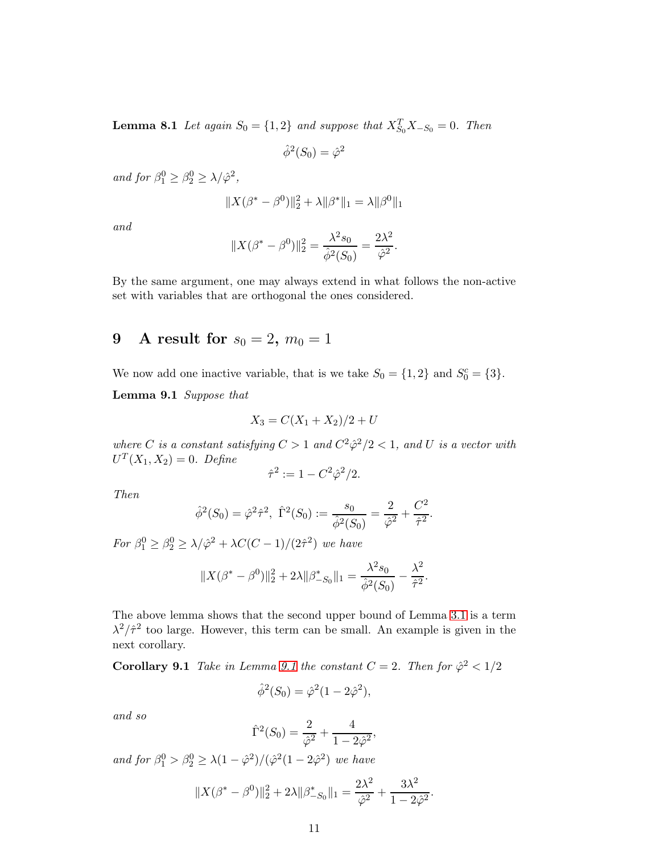**Lemma 8.1** Let again  $S_0 = \{1, 2\}$  and suppose that  $X_{S_0}^T X_{-S_0} = 0$ . Then

$$
\hat{\phi}^2(S_0) = \hat{\varphi}^2
$$

and for  $\beta_1^0 \geq \beta_2^0 \geq \lambda/\hat{\varphi}^2$ ,

$$
||X(\beta^* - \beta^0)||_2^2 + \lambda ||\beta^*||_1 = \lambda ||\beta^0||_1
$$

and

$$
||X(\beta^* - \beta^0)||_2^2 = \frac{\lambda^2 s_0}{\hat{\phi}^2(S_0)} = \frac{2\lambda^2}{\hat{\phi}^2}.
$$

By the same argument, one may always extend in what follows the non-active set with variables that are orthogonal the ones considered.

# <span id="page-10-0"></span>9 A result for  $s_0 = 2, m_0 = 1$

<span id="page-10-1"></span>We now add one inactive variable, that is we take  $S_0 = \{1, 2\}$  and  $S_0^c = \{3\}.$ 

Lemma 9.1 Suppose that

$$
X_3 = C(X_1 + X_2)/2 + U
$$

where C is a constant satisfying  $C > 1$  and  $C^2 \hat{\varphi}^2/2 < 1$ , and U is a vector with  $U^{T}(X_1, X_2) = 0$ . Define

$$
\hat{\tau}^2 := 1 - C^2 \hat{\varphi}^2 / 2.
$$

Then

$$
\hat{\phi}^2(S_0) = \hat{\varphi}^2 \hat{\tau}^2, \ \hat{\Gamma}^2(S_0) := \frac{s_0}{\hat{\phi}^2(S_0)} = \frac{2}{\hat{\varphi}^2} + \frac{C^2}{\hat{\tau}^2}.
$$

For  $\beta_1^0 \geq \beta_2^0 \geq \lambda/\hat{\varphi}^2 + \lambda C (C - 1)/(2\hat{\tau}^2)$  we have

$$
||X(\beta^* - \beta^0)||_2^2 + 2\lambda ||\beta_{-S_0}^*||_1 = \frac{\lambda^2 s_0}{\hat{\phi}^2(S_0)} - \frac{\lambda^2}{\hat{\tau}^2}.
$$

The above lemma shows that the second upper bound of Lemma [3.1](#page-4-2) is a term  $\lambda^2/\hat{\tau}^2$  too large. However, this term can be small. An example is given in the next corollary.

**Corollary [9.1](#page-10-1)** Take in Lemma 9.1 the constant  $C = 2$ . Then for  $\hat{\varphi}^2 < 1/2$ 

$$
\hat{\phi}^2(S_0) = \hat{\varphi}^2(1 - 2\hat{\varphi}^2),
$$

and so

$$
\hat{\Gamma}^2(S_0) = \frac{2}{\hat{\varphi}^2} + \frac{4}{1 - 2\hat{\varphi}^2},
$$

and for  $\beta_1^0 > \beta_2^0 \ge \lambda(1 - \hat{\varphi}^2)/(\hat{\varphi}^2(1 - 2\hat{\varphi}^2))$  we have

$$
||X(\beta^* - \beta^0)||_2^2 + 2\lambda ||\beta^*_{-S_0}||_1 = \frac{2\lambda^2}{\hat{\varphi}^2} + \frac{3\lambda^2}{1 - 2\hat{\varphi}^2}.
$$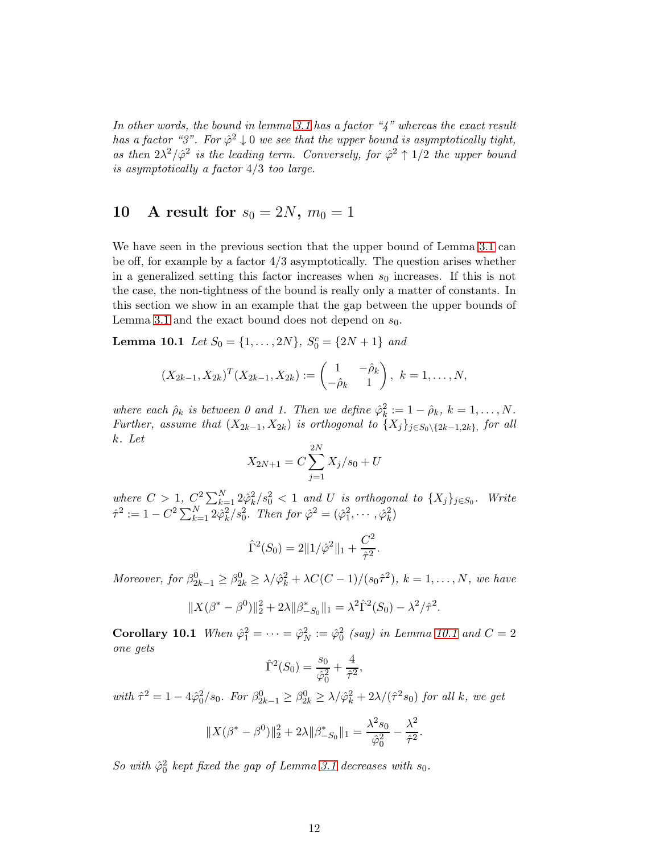In other words, the bound in lemma [3.1](#page-4-2) has a factor " $4$ " whereas the exact result has a factor "3". For  $\hat{\varphi}^2 \downarrow 0$  we see that the upper bound is asymptotically tight, as then  $2\lambda^2/\hat{\varphi}^2$  is the leading term. Conversely, for  $\hat{\varphi}^2 \uparrow 1/2$  the upper bound is asymptotically a factor 4/3 too large.

# <span id="page-11-0"></span>10 A result for  $s_0 = 2N$ ,  $m_0 = 1$

We have seen in the previous section that the upper bound of Lemma [3.1](#page-4-2) can be off, for example by a factor  $4/3$  asymptotically. The question arises whether in a generalized setting this factor increases when  $s_0$  increases. If this is not the case, the non-tightness of the bound is really only a matter of constants. In this section we show in an example that the gap between the upper bounds of Lemma [3.1](#page-4-2) and the exact bound does not depend on  $s_0$ .

<span id="page-11-1"></span>**Lemma 10.1** Let  $S_0 = \{1, ..., 2N\}$ ,  $S_0^c = \{2N + 1\}$  and

$$
(X_{2k-1}, X_{2k})^T (X_{2k-1}, X_{2k}) := \begin{pmatrix} 1 & -\hat{\rho}_k \\ -\hat{\rho}_k & 1 \end{pmatrix}, k = 1, ..., N,
$$

where each  $\hat{\rho}_k$  is between 0 and 1. Then we define  $\hat{\varphi}_k^2$  $k^2 = 1 - \hat{\rho}_k, k = 1, \ldots, N.$ Further, assume that  $(X_{2k-1}, X_{2k})$  is orthogonal to  $\{X_j\}_{j\in S_0\setminus\{2k-1,2k\}}$ , for all k. Let

$$
X_{2N+1} = C \sum_{j=1}^{2N} X_j / s_0 + U
$$

where  $C > 1$ ,  $C^2 \sum_{k=1}^N 2 \hat{\varphi}_k^2$  $\frac{2}{k}/s_0^2 < 1$  and U is orthogonal to  $\{X_j\}_{j \in S_0}$ . Write  $\hat{\tau}^2 := 1 - C^2 \sum_{k=1}^N 2 \hat{\varphi}_k^2$  $\frac{2}{k}/s_0^2$ . Then for  $\hat{\varphi}^2 = (\hat{\varphi}_1^2, \cdots, \hat{\varphi}_k^2)$  $\binom{2}{k}$ 

$$
\hat{\Gamma}^2(S_0) = 2||1/\hat{\varphi}^2||_1 + \frac{C^2}{\hat{\tau}^2}.
$$

Moreover, for  $\beta_{2k-1}^0 \geq \beta_{2k}^0 \geq \lambda/\hat{\varphi}_k^2 + \lambda C(C-1)/(s_0\hat{\tau}^2)$ ,  $k = 1, ..., N$ , we have

$$
||X(\beta^* - \beta^0)||_2^2 + 2\lambda ||\beta^*_{-S_0}||_1 = \lambda^2 \hat{\Gamma}^2(S_0) - \lambda^2/\hat{\tau}^2.
$$

Corollary [10.1](#page-11-1) When  $\hat{\varphi}_1^2 = \cdots = \hat{\varphi}_N^2 := \hat{\varphi}_0^2$  (say) in Lemma 10.1 and  $C = 2$ one gets

$$
\hat{\Gamma}^2(S_0) = \frac{s_0}{\hat{\varphi}_0^2} + \frac{4}{\hat{\tau}^2},
$$

with  $\hat{\tau}^2 = 1 - 4\hat{\varphi}_0^2/s_0$ . For  $\beta_{2k-1}^0 \ge \beta_{2k}^0 \ge \lambda/\hat{\varphi}_k^2 + 2\lambda/(\hat{\tau}^2 s_0)$  for all k, we get

$$
||X(\beta^* - \beta^0)||_2^2 + 2\lambda ||\beta^*_{-S_0}||_1 = \frac{\lambda^2 s_0}{\hat{\varphi}_0^2} - \frac{\lambda^2}{\hat{\tau}^2}.
$$

So with  $\hat{\varphi}_0^2$  kept fixed the gap of Lemma [3.1](#page-4-2) decreases with  $s_0$ .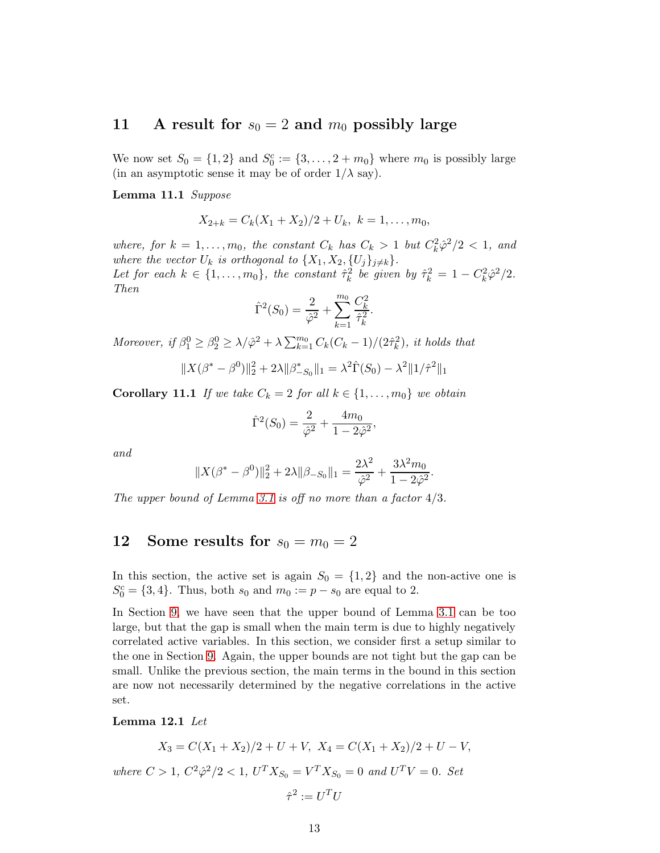## <span id="page-12-0"></span>11 A result for  $s_0 = 2$  and  $m_0$  possibly large

<span id="page-12-2"></span>We now set  $S_0 = \{1, 2\}$  and  $S_0^c := \{3, \ldots, 2 + m_0\}$  where  $m_0$  is possibly large (in an asymptotic sense it may be of order  $1/\lambda$  say).

Lemma 11.1 Suppose

$$
X_{2+k}=C_k(X_1+X_2)/2+U_k, k=1,\ldots,m_0,
$$

where, for  $k = 1, ..., m_0$ , the constant  $C_k$  has  $C_k > 1$  but  $C_k^2 \hat{\varphi}^2/2 < 1$ , and where the vector  $U_k$  is orthogonal to  $\{X_1, X_2, \{U_j\}_{j\neq k}\}.$ Let for each  $k \in \{1, \ldots, m_0\}$ , the constant  $\hat{\tau}_k^2$  $k^2$  be given by  $\hat{\tau}_k^2 = 1 - C_k^2 \hat{\varphi}^2 / 2$ . Then

$$
\hat{\Gamma}^{2}(S_{0}) = \frac{2}{\hat{\varphi}^{2}} + \sum_{k=1}^{m_{0}} \frac{C_{k}^{2}}{\hat{\tau}_{k}^{2}}.
$$

Moreover, if  $\beta_1^0 \geq \beta_2^0 \geq \lambda/\hat{\varphi}^2 + \lambda \sum_{k=1}^{m_0} C_k (C_k - 1)/(2\hat{\tau}_k^2)$  $\binom{2}{k}$ , it holds that

$$
||X(\beta^* - \beta^0)||_2^2 + 2\lambda ||\beta^*_{-S_0}||_1 = \lambda^2 \hat{\Gamma}(S_0) - \lambda^2 ||1/\hat{\tau}^2||_1
$$

**Corollary 11.1** If we take  $C_k = 2$  for all  $k \in \{1, \ldots, m_0\}$  we obtain

$$
\hat{\Gamma}^2(S_0) = \frac{2}{\hat{\varphi}^2} + \frac{4m_0}{1 - 2\hat{\varphi}^2},
$$

and

$$
||X(\beta^* - \beta^0)||_2^2 + 2\lambda ||\beta_{-S_0}||_1 = \frac{2\lambda^2}{\hat{\varphi}^2} + \frac{3\lambda^2 m_0}{1 - 2\hat{\varphi}^2}.
$$

<span id="page-12-1"></span>The upper bound of Lemma [3.1](#page-4-2) is off no more than a factor  $4/3$ .

# 12 Some results for  $s_0 = m_0 = 2$

In this section, the active set is again  $S_0 = \{1, 2\}$  and the non-active one is  $S_0^c = \{3, 4\}$ . Thus, both  $s_0$  and  $m_0 := p - s_0$  are equal to 2.

In Section [9,](#page-10-0) we have seen that the upper bound of Lemma [3.1](#page-4-2) can be too large, but that the gap is small when the main term is due to highly negatively correlated active variables. In this section, we consider first a setup similar to the one in Section [9.](#page-10-0) Again, the upper bounds are not tight but the gap can be small. Unlike the previous section, the main terms in the bound in this section are now not necessarily determined by the negative correlations in the active set.

#### <span id="page-12-3"></span>Lemma 12.1 Let

$$
X_3 = C(X_1 + X_2)/2 + U + V, \ X_4 = C(X_1 + X_2)/2 + U - V,
$$
  
where  $C > 1$ ,  $C^2 \hat{\varphi}^2/2 < 1$ ,  $U^T X_{S_0} = V^T X_{S_0} = 0$  and  $U^T V = 0$ . Set  
 $\hat{\tau}^2 := U^T U$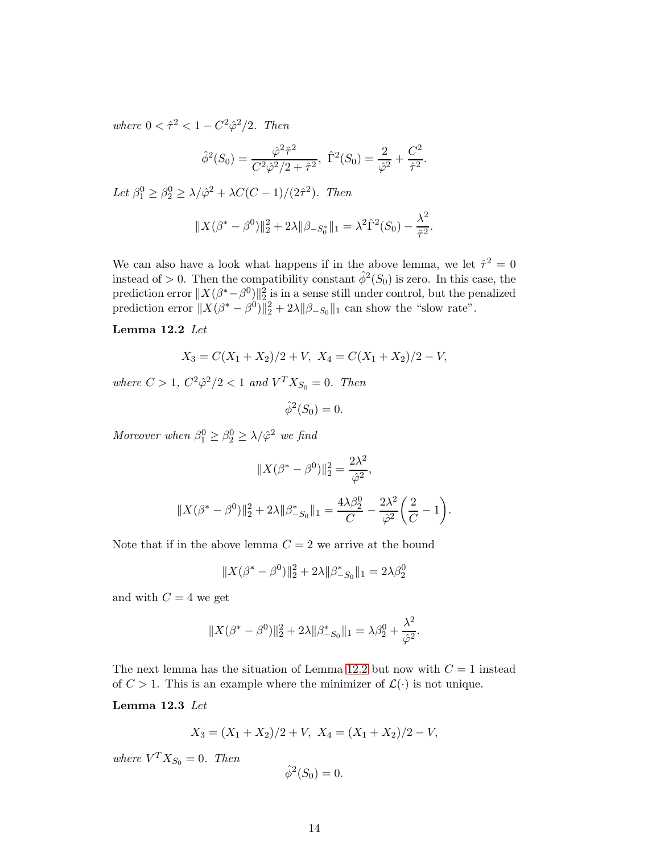where  $0 < \hat{\tau}^2 < 1 - C^2 \hat{\varphi}^2 / 2$ . Then

$$
\hat{\phi}^2(S_0) = \frac{\hat{\varphi}^2 \hat{\tau}^2}{C^2 \hat{\varphi}^2/2 + \hat{\tau}^2}, \ \hat{\Gamma}^2(S_0) = \frac{2}{\hat{\varphi}^2} + \frac{C^2}{\hat{\tau}^2}.
$$

Let  $\beta_1^0 \geq \beta_2^0 \geq \lambda/\hat{\varphi}^2 + \lambda C(C-1)/(2\hat{\tau}^2)$ . Then

$$
||X(\beta^* - \beta^0)||_2^2 + 2\lambda ||\beta_{-S_0^*}||_1 = \lambda^2 \hat{\Gamma}^2(S_0) - \frac{\lambda^2}{\hat{\tau}^2}.
$$

We can also have a look what happens if in the above lemma, we let  $\hat{\tau}^2 = 0$ instead of  $> 0$ . Then the compatibility constant  $\hat{\phi}^2(S_0)$  is zero. In this case, the prediction error  $||X(\beta^*-\beta^0)||_2^2$  is in a sense still under control, but the penalized prediction error  $||X(\beta^* - \beta^0)||_2^2 + 2\lambda ||\beta_{-S_0}||_1$  can show the "slow rate".

#### <span id="page-13-0"></span>Lemma 12.2 Let

$$
X_3 = C(X_1 + X_2)/2 + V, \ X_4 = C(X_1 + X_2)/2 - V,
$$

where  $C > 1$ ,  $C^2 \hat{\varphi}^2 / 2 < 1$  and  $V^T X_{S_0} = 0$ . Then

$$
\hat{\phi}^2(S_0) = 0.
$$

Moreover when  $\beta_1^0 \geq \beta_2^0 \geq \lambda/\hat{\varphi}^2$  we find

$$
||X(\beta^* - \beta^0)||_2^2 = \frac{2\lambda^2}{\hat{\varphi}^2},
$$
  

$$
||X(\beta^* - \beta^0)||_2^2 + 2\lambda ||\beta_{-S_0}^*||_1 = \frac{4\lambda\beta_2^0}{C} - \frac{2\lambda^2}{\hat{\varphi}^2} \left(\frac{2}{C} - 1\right).
$$

Note that if in the above lemma  $C = 2$  we arrive at the bound

$$
||X(\beta^* - \beta^0)||_2^2 + 2\lambda ||\beta_{-S_0}^*||_1 = 2\lambda\beta_2^0
$$

and with  $C = 4$  we get

$$
||X(\beta^* - \beta^0)||_2^2 + 2\lambda ||\beta_{-S_0}^*||_1 = \lambda \beta_2^0 + \frac{\lambda^2}{\hat{\varphi}^2}.
$$

<span id="page-13-1"></span>The next lemma has the situation of Lemma [12.2](#page-13-0) but now with  $C = 1$  instead of  $C > 1$ . This is an example where the minimizer of  $\mathcal{L}(\cdot)$  is not unique.

Lemma 12.3 Let

$$
X_3 = (X_1 + X_2)/2 + V, \ X_4 = (X_1 + X_2)/2 - V,
$$

where  $V^T X_{S_0} = 0$ . Then

$$
\hat{\phi}^2(S_0) = 0.
$$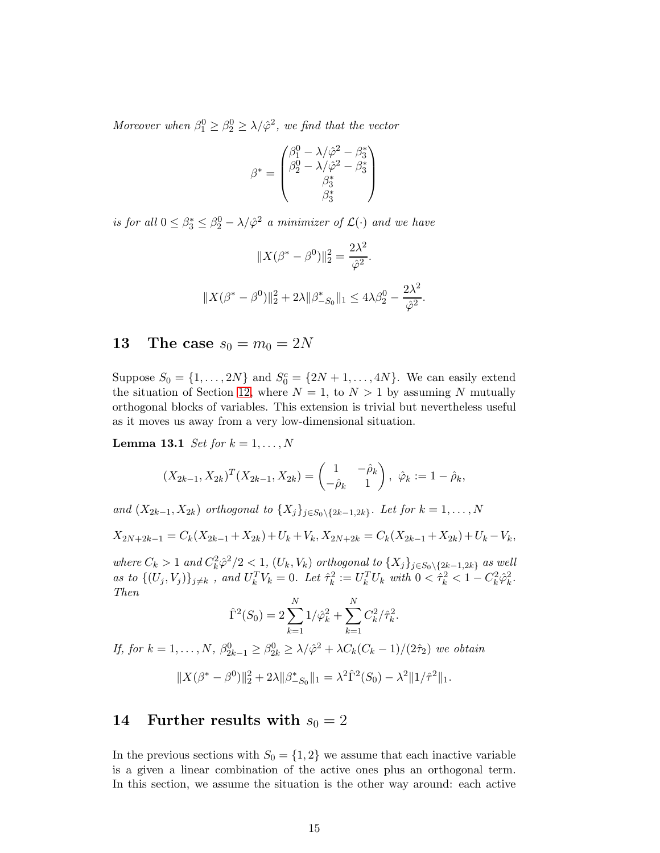Moreover when  $\beta_1^0 \geq \beta_2^0 \geq \lambda/\hat{\varphi}^2$ , we find that the vector

$$
\beta^* = \begin{pmatrix} \beta_1^0 - \lambda/\hat{\varphi}^2 - \beta_3^* \\ \beta_2^0 - \lambda/\hat{\varphi}^2 - \beta_3^* \\ \beta_3^* \\ \beta_3^* \end{pmatrix}
$$

is for all  $0 \leq \beta_3^* \leq \beta_2^0 - \lambda/\hat{\varphi}^2$  a minimizer of  $\mathcal{L}(\cdot)$  and we have

$$
||X(\beta^* - \beta^0)||_2^2 = \frac{2\lambda^2}{\hat{\varphi}^2}.
$$
  

$$
||X(\beta^* - \beta^0)||_2^2 + 2\lambda ||\beta_{-S_0}^*||_1 \le 4\lambda \beta_2^0 - \frac{2\lambda^2}{\hat{\varphi}^2}.
$$

### <span id="page-14-0"></span>**13** The case  $s_0 = m_0 = 2N$

Suppose  $S_0 = \{1, ..., 2N\}$  and  $S_0^c = \{2N + 1, ..., 4N\}$ . We can easily extend the situation of Section [12,](#page-12-1) where  $N = 1$ , to  $N > 1$  by assuming N mutually orthogonal blocks of variables. This extension is trivial but nevertheless useful as it moves us away from a very low-dimensional situation.

<span id="page-14-2"></span>**Lemma 13.1** Set for  $k = 1, \ldots, N$ 

$$
(X_{2k-1}, X_{2k})^T (X_{2k-1}, X_{2k}) = \begin{pmatrix} 1 & -\hat{\rho}_k \\ -\hat{\rho}_k & 1 \end{pmatrix}, \ \hat{\varphi}_k := 1 - \hat{\rho}_k,
$$

and  $(X_{2k-1}, X_{2k})$  orthogonal to  $\{X_j\}_{j \in S_0 \setminus \{2k-1,2k\}}$ . Let for  $k = 1, \ldots, N$ 

 $X_{2N+2k-1} = C_k(X_{2k-1}+X_{2k})+U_k+V_k, X_{2N+2k} = C_k(X_{2k-1}+X_{2k})+U_k-V_k,$ 

where  $C_k > 1$  and  $C_k^2 \hat{\varphi}^2/2 < 1$ ,  $(U_k, V_k)$  orthogonal to  $\{X_j\}_{j \in S_0 \setminus \{2k-1,2k\}}$  as well as to  $\{(U_j, V_j)\}_{j \neq k}$ , and  $U_k^T V_k = 0$ . Let  $\hat{\tau}_k^2$  $k_k^2 := U_k^T U_k$  with  $0 < \hat{\tau}_k^2 < 1 - C_k^2 \hat{\varphi}_k^2$  $\frac{2}{k}$ . Then

$$
\hat{\Gamma}^{2}(S_{0}) = 2\sum_{k=1}^{N} 1/\hat{\varphi}_{k}^{2} + \sum_{k=1}^{N} C_{k}^{2}/\hat{\tau}_{k}^{2}.
$$

If, for  $k = 1, ..., N$ ,  $\beta_{2k-1}^0 \geq \beta_{2k}^0 \geq \lambda/\hat{\varphi}^2 + \lambda C_k(C_k - 1)/(2\hat{\tau}_2)$  we obtain

$$
||X(\beta^* - \beta^0)||_2^2 + 2\lambda ||\beta^*_{-S_0}||_1 = \lambda^2 \hat{\Gamma}^2(S_0) - \lambda^2 ||1/\hat{\tau}^2||_1.
$$

## <span id="page-14-1"></span>14 Further results with  $s_0 = 2$

In the previous sections with  $S_0 = \{1, 2\}$  we assume that each inactive variable is a given a linear combination of the active ones plus an orthogonal term. In this section, we assume the situation is the other way around: each active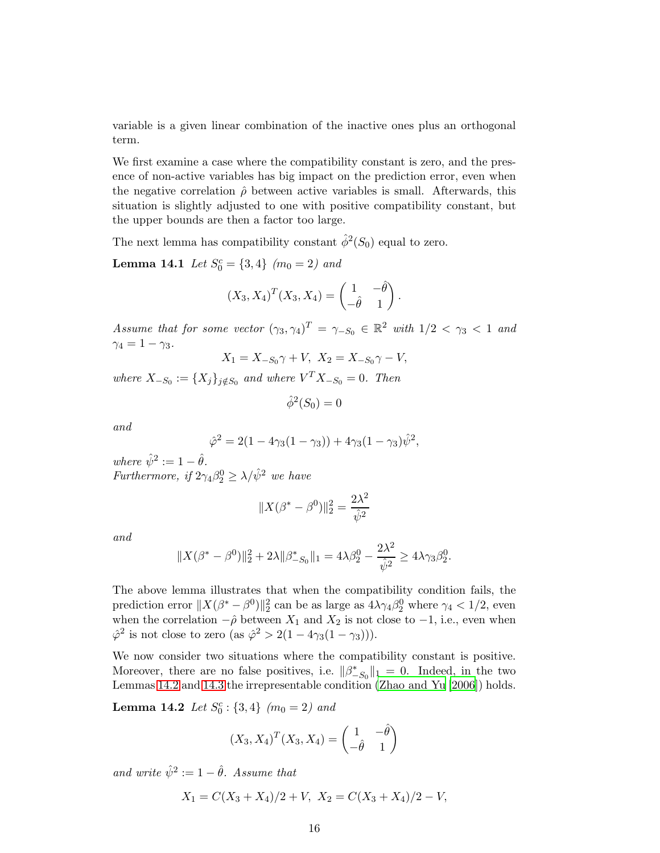variable is a given linear combination of the inactive ones plus an orthogonal term.

We first examine a case where the compatibility constant is zero, and the presence of non-active variables has big impact on the prediction error, even when the negative correlation  $\hat{\rho}$  between active variables is small. Afterwards, this situation is slightly adjusted to one with positive compatibility constant, but the upper bounds are then a factor too large.

<span id="page-15-1"></span>The next lemma has compatibility constant  $\hat{\phi}^2(S_0)$  equal to zero.

**Lemma 14.1** Let  $S_0^c = \{3, 4\}$   $(m_0 = 2)$  and

$$
(X_3, X_4)^T(X_3, X_4) = \begin{pmatrix} 1 & -\hat{\theta} \\ -\hat{\theta} & 1 \end{pmatrix}.
$$

Assume that for some vector  $(\gamma_3, \gamma_4)^T = \gamma_{-S_0} \in \mathbb{R}^2$  with  $1/2 < \gamma_3 < 1$  and  $\gamma_4=1-\gamma_3$ .

$$
X_1 = X_{-S_0} \gamma + V, \ X_2 = X_{-S_0} \gamma - V,
$$

where  $X_{-S_0} := \{X_j\}_{j \notin S_0}$  and where  $V^T X_{-S_0} = 0$ . Then

$$
\hat{\phi}^2(S_0)=0
$$

and

$$
\hat{\varphi}^2 = 2(1 - 4\gamma_3(1 - \gamma_3)) + 4\gamma_3(1 - \gamma_3)\hat{\psi}^2,
$$

where  $\hat{\psi}^2 := 1 - \hat{\theta}$ . Furthermore, if  $2\gamma_4\beta_2^0 \geq \lambda/\hat{\psi}^2$  we have

$$
||X(\beta^* - \beta^0)||_2^2 = \frac{2\lambda^2}{\hat{\psi}^2}
$$

and

$$
||X(\beta^* - \beta^0)||_2^2 + 2\lambda ||\beta_{-S_0}^*||_1 = 4\lambda \beta_2^0 - \frac{2\lambda^2}{\hat{\psi}^2} \ge 4\lambda \gamma_3 \beta_2^0.
$$

The above lemma illustrates that when the compatibility condition fails, the prediction error  $||X(\beta^* - \beta^0)||_2^2$  can be as large as  $4\lambda\gamma_4\beta_2^0$  where  $\gamma_4 < 1/2$ , even when the correlation  $-\hat{\rho}$  between  $X_1$  and  $X_2$  is not close to  $-1$ , i.e., even when  $\hat{\varphi}^2$  is not close to zero (as  $\hat{\varphi}^2 > 2(1 - 4\gamma_3(1 - \gamma_3))).$ 

We now consider two situations where the compatibility constant is positive. Moreover, there are no false positives, i.e.  $\|\beta^*_{-S_0}\|_1 = 0$ . Indeed, in the two Lemmas [14.2](#page-15-0) and [14.3](#page-16-0) the irrepresentable condition [\(Zhao and Yu \[2006](#page-33-2)]) holds.

<span id="page-15-0"></span>**Lemma 14.2** Let  $S_0^c$ :  $\{3, 4\}$   $(m_0 = 2)$  and

$$
(X_3, X_4)^T (X_3, X_4) = \begin{pmatrix} 1 & -\hat{\theta} \\ -\hat{\theta} & 1 \end{pmatrix}
$$

and write  $\hat{\psi}^2 := 1 - \hat{\theta}$ . Assume that

$$
X_1 = C(X_3 + X_4)/2 + V, \ X_2 = C(X_3 + X_4)/2 - V,
$$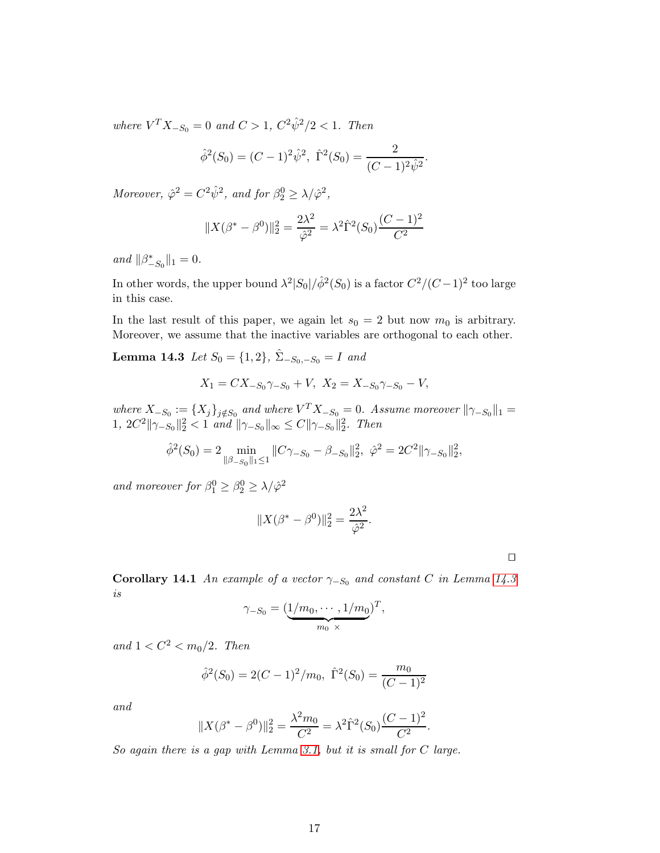where  $V^T X_{-S_0} = 0$  and  $C > 1$ ,  $C^2 \hat{\psi}^2 / 2 < 1$ . Then

$$
\hat{\phi}^2(S_0) = (C-1)^2 \hat{\psi}^2
$$
,  $\hat{\Gamma}^2(S_0) = \frac{2}{(C-1)^2 \hat{\psi}^2}$ .

Moreover,  $\hat{\varphi}^2 = C^2 \hat{\psi}^2$ , and for  $\beta_2^0 \ge \lambda / \hat{\varphi}^2$ ,

$$
||X(\beta^* - \beta^0)||_2^2 = \frac{2\lambda^2}{\hat{\varphi}^2} = \lambda^2 \hat{\Gamma}^2(S_0) \frac{(C-1)^2}{C^2}
$$

and  $||\beta_{-S_0}^*||_1 = 0$ .

In other words, the upper bound  $\lambda^2|S_0|/\hat{\phi}^2(S_0)$  is a factor  $C^2/(C-1)^2$  too large in this case.

<span id="page-16-0"></span>In the last result of this paper, we again let  $s_0 = 2$  but now  $m_0$  is arbitrary. Moreover, we assume that the inactive variables are orthogonal to each other.

Lemma 14.3 Let  $S_0 = \{1, 2\}$ ,  $\hat{\Sigma}_{-S_0, -S_0} = I$  and

$$
X_1 = CX_{-S_0} \gamma_{-S_0} + V, \ X_2 = X_{-S_0} \gamma_{-S_0} - V,
$$

where  $X_{-S_0} := \{X_j\}_{j \notin S_0}$  and where  $V^T X_{-S_0} = 0$ . Assume moreover  $\|\gamma_{-S_0}\|_1 =$ 1, 2C<sup>2</sup>  $\|\gamma_{-S_0}\|_2^2 < 1$  and  $\|\gamma_{-S_0}\|_{\infty} \leq C \|\gamma_{-S_0}\|_2^2$ . Then

$$
\hat{\phi}^2(S_0) = 2 \min_{\|\beta - s_0\|_1 \le 1} \|C\gamma_{-S_0} - \beta_{-S_0}\|_2^2, \ \hat{\varphi}^2 = 2C^2 \|\gamma_{-S_0}\|_2^2,
$$

and moreover for  $\beta_1^0 \geq \beta_2^0 \geq \lambda/\hat{\varphi}^2$ 

$$
||X(\beta^* - \beta^0)||_2^2 = \frac{2\lambda^2}{\hat{\varphi}^2}.
$$

⊔⊓

Corollary 14.1 An example of a vector  $\gamma_{-S_0}$  and constant C in Lemma [14.3](#page-16-0) is

$$
\gamma_{-S_0} = (\underbrace{1/m_0, \cdots, 1/m_0}_{m_0 \times})^T,
$$

and  $1 < C^2 < m_0/2$ . Then

$$
\hat{\phi}^2(S_0) = 2(C-1)^2/m_0, \ \hat{\Gamma}^2(S_0) = \frac{m_0}{(C-1)^2}
$$

and

$$
||X(\beta^* - \beta^0)||_2^2 = \frac{\lambda^2 m_0}{C^2} = \lambda^2 \hat{\Gamma}^2(S_0) \frac{(C-1)^2}{C^2}.
$$

So again there is a gap with Lemma [3.1,](#page-4-2) but it is small for  $C$  large.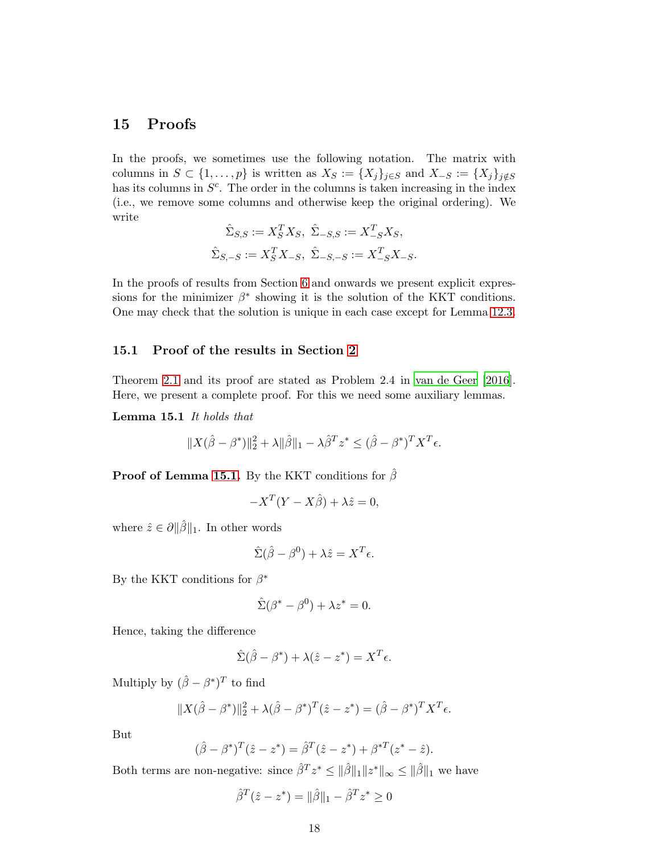## <span id="page-17-0"></span>15 Proofs

In the proofs, we sometimes use the following notation. The matrix with columns in  $S \subset \{1, \ldots, p\}$  is written as  $X_S := \{X_j\}_{j \in S}$  and  $X_{-S} := \{X_j\}_{j \notin S}$ has its columns in  $S<sup>c</sup>$ . The order in the columns is taken increasing in the index (i.e., we remove some columns and otherwise keep the original ordering). We write

$$
\hat{\Sigma}_{S,S}:=X_S^TX_S,\ \hat{\Sigma}_{-S,S}:=X_{-S}^TX_S,\label{eq:SigmaS} \\ \hat{\Sigma}_{S,-S}:=X_S^TX_{-S},\ \hat{\Sigma}_{-S,-S}:=X_{-S}^TX_{-S}.
$$

In the proofs of results from Section [6](#page-7-0) and onwards we present explicit expressions for the minimizer  $\beta^*$  showing it is the solution of the KKT conditions. One may check that the solution is unique in each case except for Lemma [12.3.](#page-13-1)

### 15.1 Proof of the results in Section [2](#page-3-0)

<span id="page-17-1"></span>Theorem [2.1](#page-3-1) and its proof are stated as Problem 2.4 in [van de Geer \[2016](#page-32-0)]. Here, we present a complete proof. For this we need some auxiliary lemmas.

Lemma 15.1 It holds that

$$
||X(\hat{\beta} - \beta^*)||_2^2 + \lambda ||\hat{\beta}||_1 - \lambda \hat{\beta}^T z^* \leq (\hat{\beta} - \beta^*)^T X^T \epsilon.
$$

**Proof of Lemma [15.1.](#page-17-1)** By the KKT conditions for  $\hat{\beta}$ 

$$
-X^T(Y - X\hat{\beta}) + \lambda \hat{z} = 0,
$$

where  $\hat{z} \in \partial ||\hat{\beta}||_1$ . In other words

$$
\hat{\Sigma}(\hat{\beta} - \beta^0) + \lambda \hat{z} = X^T \epsilon.
$$

By the KKT conditions for  $\beta^*$ 

$$
\hat{\Sigma}(\beta^* - \beta^0) + \lambda z^* = 0.
$$

Hence, taking the difference

$$
\hat{\Sigma}(\hat{\beta} - \beta^*) + \lambda(\hat{z} - z^*) = X^T \epsilon.
$$

Multiply by  $(\hat{\beta} - \beta^*)^T$  to find

$$
||X(\hat{\beta} - \beta^*)||_2^2 + \lambda(\hat{\beta} - \beta^*)^T(\hat{z} - z^*) = (\hat{\beta} - \beta^*)^T X^T \epsilon.
$$

But

$$
(\hat{\beta} - \beta^*)^T (\hat{z} - z^*) = \hat{\beta}^T (\hat{z} - z^*) + \beta^{*T} (z^* - \hat{z}).
$$

Both terms are non-negative: since  $\hat{\beta}^T z^* \leq ||\hat{\beta}||_1 ||z^*||_{\infty} \leq ||\hat{\beta}||_1$  we have

$$
\hat{\beta}^{T}(\hat{z} - z^{*}) = ||\hat{\beta}||_{1} - \hat{\beta}^{T}z^{*} \ge 0
$$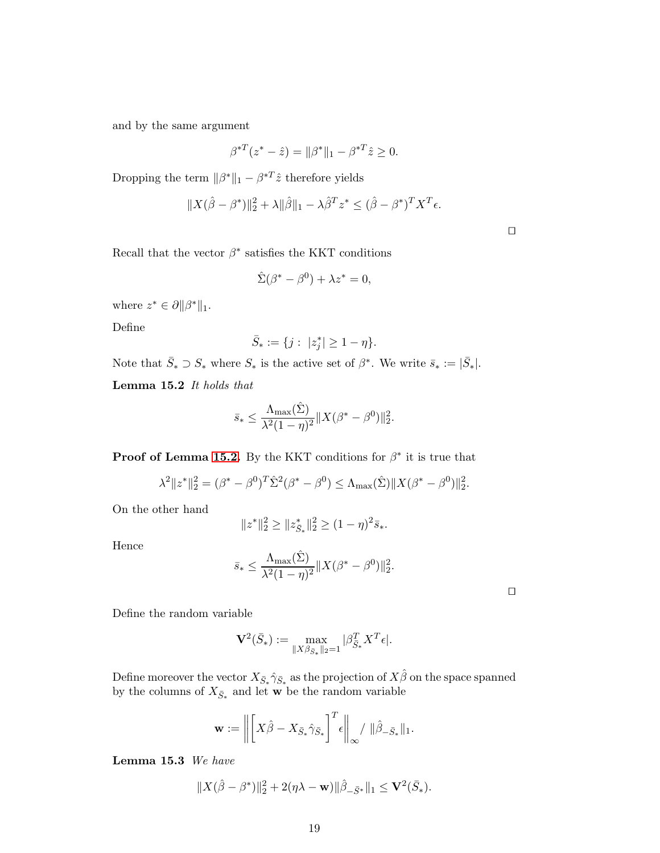and by the same argument

$$
\beta^{*T}(z^* - \hat{z}) = ||\beta^*||_1 - \beta^{*T}\hat{z} \ge 0.
$$

Dropping the term  $\|\beta^*\|_1 - \beta^{*T}\hat{z}$  therefore yields

$$
||X(\hat{\beta} - \beta^*)||_2^2 + \lambda ||\hat{\beta}||_1 - \lambda \hat{\beta}^T z^* \leq (\hat{\beta} - \beta^*)^T X^T \epsilon.
$$

⊔⊓

Recall that the vector  $\beta^*$  satisfies the KKT conditions

$$
\hat{\Sigma}(\beta^* - \beta^0) + \lambda z^* = 0,
$$

where  $z^* \in \partial \|\beta^*\|_1$ .

Define

$$
\bar{S}_*:=\{j:\ |z_j^*|\ge 1-\eta\}.
$$

<span id="page-18-0"></span>Note that  $\bar{S}_* \supset S_*$  where  $S_*$  is the active set of  $\beta^*$ . We write  $\bar{s}_* := |\bar{S}_*|$ .

Lemma 15.2 It holds that

$$
\bar{s}_{*} \leq \frac{\Lambda_{\max}(\hat{\Sigma})}{\lambda^2 (1-\eta)^2} \|X(\beta^* - \beta^0)\|_2^2.
$$

**Proof of Lemma [15.2.](#page-18-0)** By the KKT conditions for  $\beta^*$  it is true that

$$
\lambda^2 \|z^*\|_2^2 = (\beta^* - \beta^0)^T \hat{\Sigma}^2 (\beta^* - \beta^0) \le \Lambda_{\max}(\hat{\Sigma}) \|X(\beta^* - \beta^0)\|_2^2.
$$

On the other hand

$$
||z^*||_2^2 \ge ||z_{\bar{S}_*}^*||_2^2 \ge (1 - \eta)^2 \bar{s}_*.
$$

Hence

$$
\bar{s}_{*} \leq \frac{\Lambda_{\max}(\hat{\Sigma})}{\lambda^2 (1-\eta)^2} \|X(\beta^* - \beta^0)\|_2^2.
$$

⊔⊓

Define the random variable

$$
\mathbf{V}^{2}(\bar{S}_{*}) := \max_{\|X\beta_{\bar{S}_{*}}\|_{2} = 1} |\beta_{\bar{S}_{*}}^{T} X^{T} \epsilon|.
$$

Define moreover the vector  $X_{\bar{S}_*}\hat{\gamma}_{\bar{S}_*}$  as the projection of  $X\hat{\beta}$  on the space spanned by the columns of  $X_{\bar{S}*}$  and let **w** be the random variable

$$
\mathbf{w} := \left\| \left[ X\hat{\beta} - X_{\bar{S}_{*}} \hat{\gamma}_{\bar{S}_{*}} \right]^{T} \epsilon \right\|_{\infty} / \|\hat{\beta}_{-\bar{S}_{*}}\|_{1}.
$$

<span id="page-18-1"></span>Lemma 15.3 We have

$$
||X(\hat{\beta} - \beta^*)||_2^2 + 2(\eta \lambda - \mathbf{w}) ||\hat{\beta}_{-\bar{S}^*}||_1 \leq \mathbf{V}^2(\bar{S}_*).
$$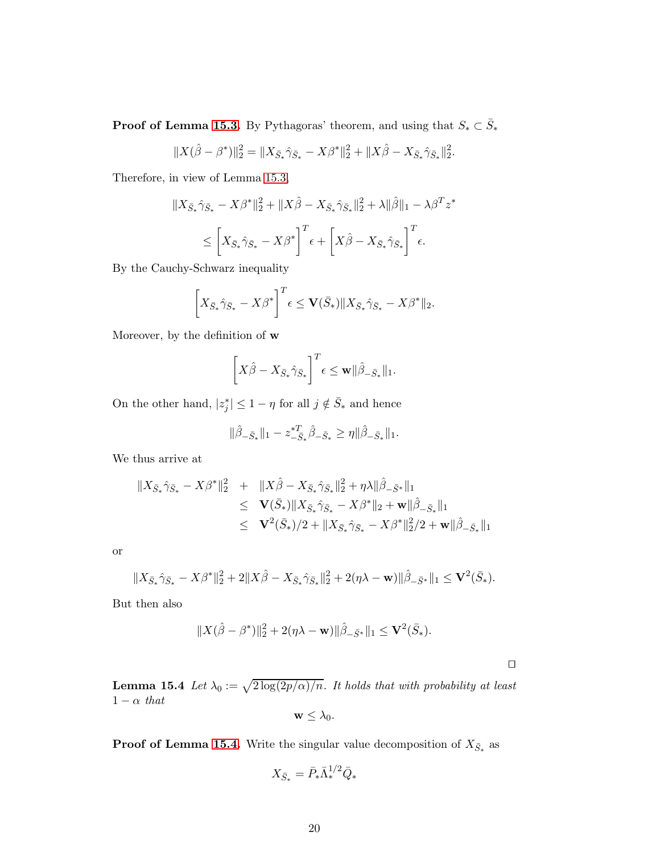**Proof of Lemma [15.3.](#page-18-1)** By Pythagoras' theorem, and using that  $S_* \subset \overline{S}_*$ 

$$
||X(\hat{\beta} - \beta^*)||_2^2 = ||X_{\bar{S}_*}\hat{\gamma}_{\bar{S}_*} - X\beta^*||_2^2 + ||X\hat{\beta} - X_{\bar{S}_*}\hat{\gamma}_{\bar{S}_*}||_2^2.
$$

Therefore, in view of Lemma [15.3,](#page-18-1)

$$
||X_{\bar{S}_{*}}\hat{\gamma}_{\bar{S}_{*}} - X\beta^{*}||_{2}^{2} + ||X\hat{\beta} - X_{\bar{S}_{*}}\hat{\gamma}_{\bar{S}_{*}}||_{2}^{2} + \lambda||\hat{\beta}||_{1} - \lambda\beta^{T}z^{*}
$$
  

$$
\leq \left[X_{\bar{S}_{*}}\hat{\gamma}_{\bar{S}_{*}} - X\beta^{*}\right]^{T} \epsilon + \left[X\hat{\beta} - X_{\bar{S}_{*}}\hat{\gamma}_{\bar{S}_{*}}\right]^{T} \epsilon.
$$

By the Cauchy-Schwarz inequality

$$
\left[X_{\bar{S}_{*}}\hat{\gamma}_{\bar{S}_{*}} - X\beta^{*}\right]^{T} \epsilon \leq \mathbf{V}(\bar{S}_{*}) \|X_{\bar{S}_{*}}\hat{\gamma}_{\bar{S}_{*}} - X\beta^{*}\|_{2}.
$$

Moreover, by the definition of w

$$
\left[X\hat{\beta} - X_{\bar{S}_{*}}\hat{\gamma}_{\bar{S}_{*}}\right]^{T} \epsilon \leq \mathbf{w} \|\hat{\beta}_{-\bar{S}_{*}}\|_{1}.
$$

On the other hand,  $|z_j^*| \leq 1 - \eta$  for all  $j \notin \overline{S}_*$  and hence

$$
\|\hat{\beta}_{-\bar{S}_*}\|_1 - z_{-\bar{S}_*}^{*T} \hat{\beta}_{-\bar{S}_*} \ge \eta \|\hat{\beta}_{-\bar{S}_*}\|_1.
$$

We thus arrive at

$$
\begin{array}{rcl}\n\|X_{\bar{S}_{*}}\hat{\gamma}_{\bar{S}_{*}}-X\beta^{*}\|_{2}^{2} & + & \|X\hat{\beta}-X_{\bar{S}_{*}}\hat{\gamma}_{\bar{S}_{*}}\|_{2}^{2}+\eta\lambda\|\hat{\beta}_{-\bar{S}^{*}}\|_{1} \\
 & \leq & \mathbf{V}(\bar{S}_{*})\|X_{\bar{S}_{*}}\hat{\gamma}_{\bar{S}_{*}}-X\beta^{*}\|_{2}+\mathbf{w}\|\hat{\beta}_{-\bar{S}_{*}}\|_{1} \\
 & \leq & \mathbf{V}^{2}(\bar{S}_{*})/2+\|X_{\bar{S}_{*}}\hat{\gamma}_{\bar{S}_{*}}-X\beta^{*}\|_{2}^{2}/2+\mathbf{w}\|\hat{\beta}_{-\bar{S}_{*}}\|_{1}\n\end{array}
$$

or

$$
||X_{\bar{S}_*} \hat{\gamma}_{\bar{S}_*} - X\beta^*||_2^2 + 2||X\hat{\beta} - X_{\bar{S}_*} \hat{\gamma}_{\bar{S}_*}||_2^2 + 2(\eta \lambda - \mathbf{w})||\hat{\beta}_{-\bar{S}^*}||_1 \leq \mathbf{V}^2(\bar{S}_*).
$$

But then also

$$
||X(\hat{\beta} - \beta^*)||_2^2 + 2(\eta \lambda - \mathbf{w})||\hat{\beta}_{-\bar{S}^*}||_1 \leq \mathbf{V}^2(\bar{S}_*).
$$

⊔⊓

<span id="page-19-0"></span>**Lemma 15.4** Let  $\lambda_0 := \sqrt{2 \log(2p/\alpha)/n}$ . It holds that with probability at least  $1 - \alpha$  that

$$
\mathbf{w} \leq \lambda_0.
$$

**Proof of Lemma [15.4.](#page-19-0)** Write the singular value decomposition of  $X_{\bar{S}*}$  as

$$
X_{\bar{S}_*} = \bar{P}_* \bar{\Lambda}_*^{1/2} \bar{Q}_*
$$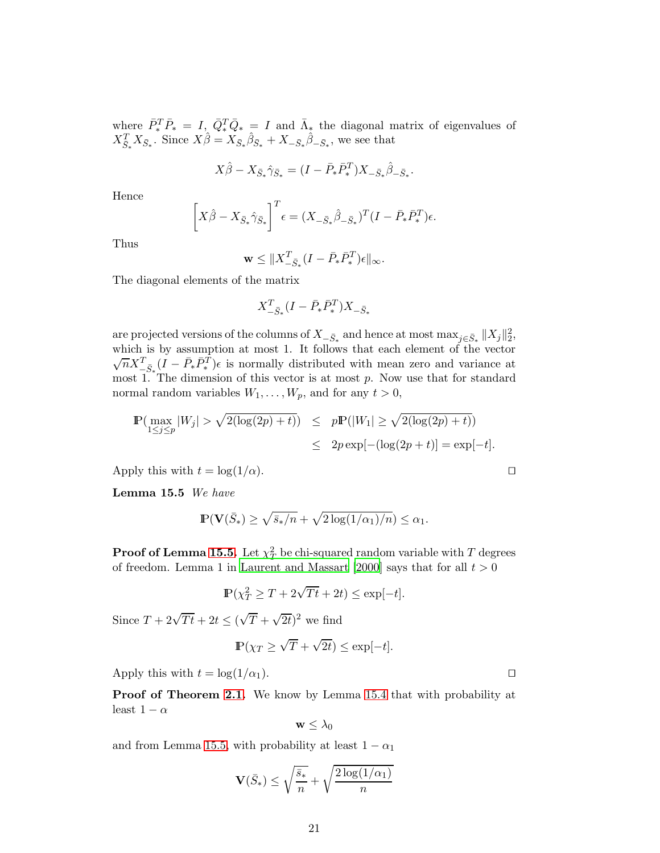where  $\bar{P}_*^T \bar{P}_* = I, \ \bar{Q}_*^T \bar{Q}_* = I$  and  $\bar{\Lambda}_*$  the diagonal matrix of eigenvalues of  $X_{\bar{S}_*}^T X_{\bar{S}_*}$ . Since  $X\hat{\beta} = X_{\bar{S}_*} \hat{\beta}_{\bar{S}_*} + X_{-\bar{S}_*} \hat{\beta}_{-\bar{S}_*}$ , we see that

$$
X\hat{\beta} - X_{\bar{S}_{*}}\hat{\gamma}_{\bar{S}_{*}} = (I - \bar{P}_{*}\bar{P}_{*}^{T})X_{-\bar{S}_{*}}\hat{\beta}_{-\bar{S}_{*}}.
$$

Hence

$$
\left[X\hat{\beta} - X_{\bar{S}_{*}}\hat{\gamma}_{\bar{S}_{*}}\right]^{T} \epsilon = (X_{-\bar{S}_{*}}\hat{\beta}_{-\bar{S}_{*}})^{T} (I - \bar{P}_{*}\bar{P}_{*}^{T}) \epsilon.
$$

Thus

$$
\mathbf{w} \le \|X_{-\bar{S}_{*}}^T (I - \bar{P}_{*} \bar{P}_{*}^T) \epsilon\|_{\infty}.
$$

The diagonal elements of the matrix

$$
X_{-\bar{S}_{*}}^T(I-\bar{P}_{*}\bar{P}_{*}^T)X_{-\bar{S}_{*}}
$$

are projected versions of the columns of  $X_{-\bar{S}_*}$  and hence at most  $\max_{j\in\bar{S}_*}||X_j||_2^2$ , which is by assumption at most 1. It follows that each element of the vector  $\sqrt{n}X^T_{-\bar{S}_*}(\tilde{I} - \bar{P}_*\bar{P}_*^T)\epsilon$  is normally distributed with mean zero and variance at most 1. The dimension of this vector is at most  $p$ . Now use that for standard normal random variables  $W_1, \ldots, W_p$ , and for any  $t > 0$ ,

$$
\mathbb{P}(\max_{1 \le j \le p} |W_j| > \sqrt{2(\log(2p) + t)}) \le p\mathbb{P}(|W_1| \ge \sqrt{2(\log(2p) + t)})
$$
  
 
$$
\le 2p \exp[-(\log(2p + t)] = \exp[-t].
$$

<span id="page-20-0"></span>Apply this with  $t = \log(1/\alpha)$ . □

Lemma 15.5 We have

$$
\mathbb{P}(\mathbf{V}(\bar{S}_*) \ge \sqrt{\bar{s}_*/n} + \sqrt{2\log(1/\alpha_1)/n}) \le \alpha_1.
$$

 $\operatorname{\mathsf{Proof}}$  of Lemma [15.5.](#page-20-0) Let  $\chi^2_T$  $T<sub>T</sub><sup>2</sup>$  be chi-squared random variable with T degrees of freedom. Lemma 1 in [Laurent and Massart \[2000](#page-32-6)] says that for all  $t > 0$ 

$$
\mathbb{P}(\chi_T^2 \ge T + 2\sqrt{Tt} + 2t) \le \exp[-t].
$$

Since  $T + 2\sqrt{Tt} + 2t \leq (\sqrt{T} + \sqrt{2t})^2$  we find

$$
\mathbb{P}(\chi_T \ge \sqrt{T} + \sqrt{2t}) \le \exp[-t].
$$

Apply this with  $t = \log(1/\alpha_1)$ . □

Proof of Theorem [2.1.](#page-3-1) We know by Lemma [15.4](#page-19-0) that with probability at least  $1 - \alpha$ 

$$
\mathbf{w} \leq \lambda_0
$$

and from Lemma [15.5,](#page-20-0) with probability at least  $1 - \alpha_1$ 

$$
\mathbf{V}(\bar{S}_*) \le \sqrt{\frac{\bar{s}_*}{n}} + \sqrt{\frac{2\log(1/\alpha_1)}{n}}
$$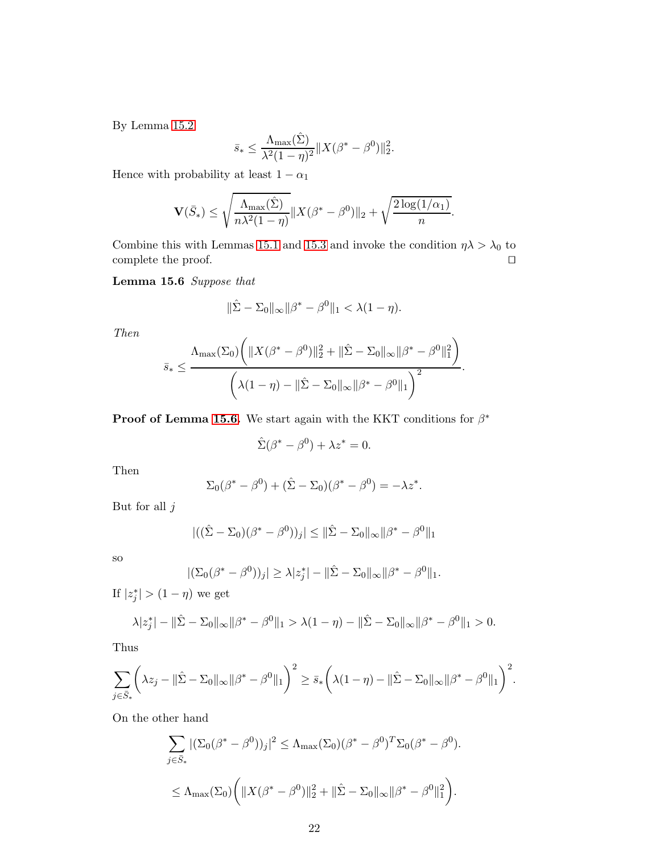By Lemma [15.2](#page-18-0)

$$
\bar{s}_{*} \leq \frac{\Lambda_{\max}(\hat{\Sigma})}{\lambda^{2}(1-\eta)^{2}} \|X(\beta^{*}-\beta^{0})\|_{2}^{2}.
$$

Hence with probability at least  $1-\alpha_1$ 

$$
\mathbf{V}(\bar{S}_*) \le \sqrt{\frac{\Lambda_{\max}(\hat{\Sigma})}{n\lambda^2(1-\eta)}} \|X(\beta^*-\beta^0)\|_2 + \sqrt{\frac{2\log(1/\alpha_1)}{n}}.
$$

<span id="page-21-0"></span>Combine this with Lemmas [15.1](#page-17-1) and [15.3](#page-18-1) and invoke the condition  $\eta \lambda > \lambda_0$  to complete the proof.  $□$ 

Lemma 15.6 Suppose that

$$
\|\hat{\Sigma} - \Sigma_0\|_{\infty} \|\beta^* - \beta^0\|_1 < \lambda(1 - \eta).
$$

Then

$$
\bar{s}_{*} \leq \frac{\Lambda_{\max}(\Sigma_{0})\bigg(\|X(\beta^{*}-\beta^{0})\|_{2}^{2}+\|\hat{\Sigma}-\Sigma_{0}\|_{\infty}\|\beta^{*}-\beta^{0}\|_{1}^{2}\bigg)}{\bigg(\lambda(1-\eta)-\|\hat{\Sigma}-\Sigma_{0}\|_{\infty}\|\beta^{*}-\beta^{0}\|_{1}\bigg)^{2}}.
$$

**Proof of Lemma [15.6.](#page-21-0)** We start again with the KKT conditions for  $\beta^*$ 

$$
\hat{\Sigma}(\beta^* - \beta^0) + \lambda z^* = 0.
$$

Then

$$
\Sigma_0(\beta^* - \beta^0) + (\hat{\Sigma} - \Sigma_0)(\beta^* - \beta^0) = -\lambda z^*.
$$

But for all  $j$ 

$$
|((\hat{\Sigma} - \Sigma_0)(\beta^* - \beta^0))_j| \le ||\hat{\Sigma} - \Sigma_0||_{\infty} ||\beta^* - \beta^0||_1
$$

so

$$
|(\Sigma_0(\beta^* - \beta^0))_j| \ge \lambda |z_j^*| - ||\hat{\Sigma} - \Sigma_0||_{\infty} ||\beta^* - \beta^0||_1.
$$

If  $|z_j^*| > (1 - \eta)$  we get

$$
\lambda |z_j^*| - \|\hat{\Sigma} - \Sigma_0\|_{\infty} \|\beta^* - \beta^0\|_1 > \lambda(1 - \eta) - \|\hat{\Sigma} - \Sigma_0\|_{\infty} \|\beta^* - \beta^0\|_1 > 0.
$$

Thus

$$
\sum_{j \in \bar{S}_*} \left( \lambda z_j - ||\hat{\Sigma} - \Sigma_0||_{\infty} ||\beta^* - \beta^0||_1 \right)^2 \ge \bar{s}_* \left( \lambda (1 - \eta) - ||\hat{\Sigma} - \Sigma_0||_{\infty} ||\beta^* - \beta^0||_1 \right)^2.
$$

On the other hand

$$
\sum_{j \in \bar{S}_*} |(\Sigma_0(\beta^* - \beta^0))_j|^2 \le \Lambda_{\max}(\Sigma_0)(\beta^* - \beta^0)^T \Sigma_0(\beta^* - \beta^0).
$$
  

$$
\le \Lambda_{\max}(\Sigma_0) \bigg( \|X(\beta^* - \beta^0)\|_2^2 + \|\hat{\Sigma} - \Sigma_0\|_{\infty} \|\beta^* - \beta^0\|_1^2 \bigg).
$$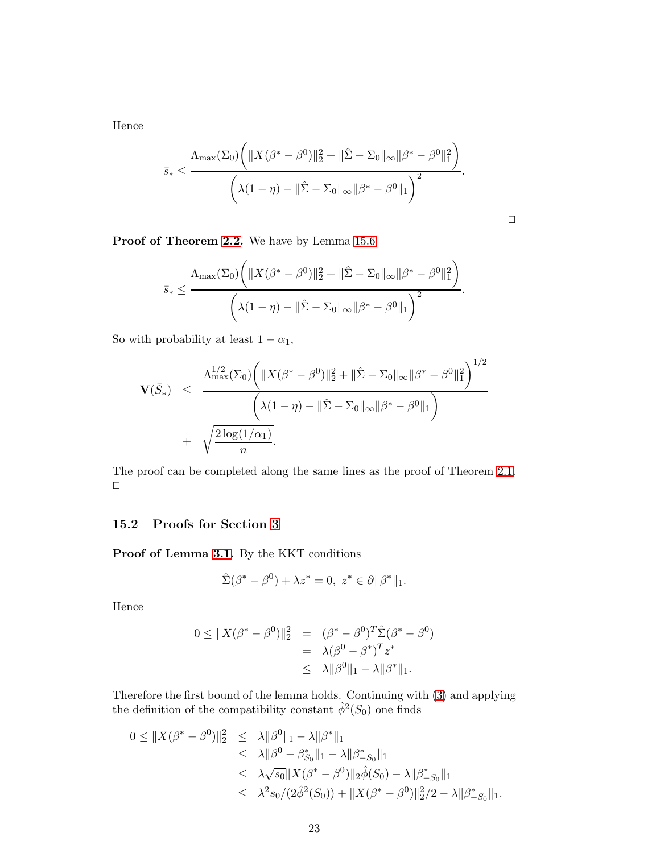Hence

$$
\bar{s}_{*} \leq \frac{\Lambda_{\max}(\Sigma_{0})\bigg(\|X(\beta^{*}-\beta^{0})\|_{2}^{2}+\|\hat{\Sigma}-\Sigma_{0}\|_{\infty}\|\beta^{*}-\beta^{0}\|_{1}^{2}\bigg)}{\bigg(\lambda(1-\eta)-\|\hat{\Sigma}-\Sigma_{0}\|_{\infty}\|\beta^{*}-\beta^{0}\|_{1}\bigg)^{2}}.
$$

$$
\Box
$$

Proof of Theorem [2.2.](#page-3-2) We have by Lemma  $15.6$ 

$$
\bar{s}_{*} \leq \frac{\Lambda_{\max}(\Sigma_{0})\bigg(\|X(\beta^{*}-\beta^{0})\|_{2}^{2}+\|\hat{\Sigma}-\Sigma_{0}\|_{\infty}\|\beta^{*}-\beta^{0}\|_{1}^{2}\bigg)}{\bigg(\lambda(1-\eta)-\|\hat{\Sigma}-\Sigma_{0}\|_{\infty}\|\beta^{*}-\beta^{0}\|_{1}\bigg)^{2}}.
$$

So with probability at least  $1 - \alpha_1$ ,

$$
\mathbf{V}(\bar{S}_{*}) \leq \frac{\Lambda_{\max}^{1/2}(\Sigma_{0}) \left( \|X(\beta^{*} - \beta^{0})\|_{2}^{2} + \|\hat{\Sigma} - \Sigma_{0}\|_{\infty} \|\beta^{*} - \beta^{0}\|_{1}^{2} \right)^{1/2}}{\left(\lambda(1 - \eta) - \|\hat{\Sigma} - \Sigma_{0}\|_{\infty} \|\beta^{*} - \beta^{0}\|_{1}\right)}
$$

$$
+ \sqrt{\frac{2\log(1/\alpha_{1})}{n}}.
$$

The proof can be completed along the same lines as the proof of Theorem [2.1.](#page-3-1) ⊔⊓

### 15.2 Proofs for Section [3](#page-4-0)

Proof of Lemma [3.1.](#page-4-2) By the KKT conditions

$$
\hat{\Sigma}(\beta^* - \beta^0) + \lambda z^* = 0, \ z^* \in \partial \|\beta^*\|_1.
$$

Hence

$$
0 \leq ||X(\beta^* - \beta^0)||_2^2 = (\beta^* - \beta^0)^T \hat{\Sigma}(\beta^* - \beta^0)
$$
  
=  $\lambda(\beta^0 - \beta^*)^T z^*$   
 $\leq \lambda ||\beta^0||_1 - \lambda ||\beta^*||_1.$ 

Therefore the first bound of the lemma holds. Continuing with (3) and applying the definition of the compatibility constant  $\hat{\phi}^2(S_0)$  one finds

$$
0 \leq ||X(\beta^* - \beta^0)||_2^2 \leq \lambda ||\beta^0||_1 - \lambda ||\beta^*||_1
$$
  
\n
$$
\leq \lambda ||\beta^0 - \beta^*_{S_0}||_1 - \lambda ||\beta^*_{-S_0}||_1
$$
  
\n
$$
\leq \lambda \sqrt{s_0} ||X(\beta^* - \beta^0)||_2 \hat{\phi}(S_0) - \lambda ||\beta^*_{-S_0}||_1
$$
  
\n
$$
\leq \lambda^2 s_0/(2\hat{\phi}^2(S_0)) + ||X(\beta^* - \beta^0)||_2^2/2 - \lambda ||\beta^*_{-S_0}||_1.
$$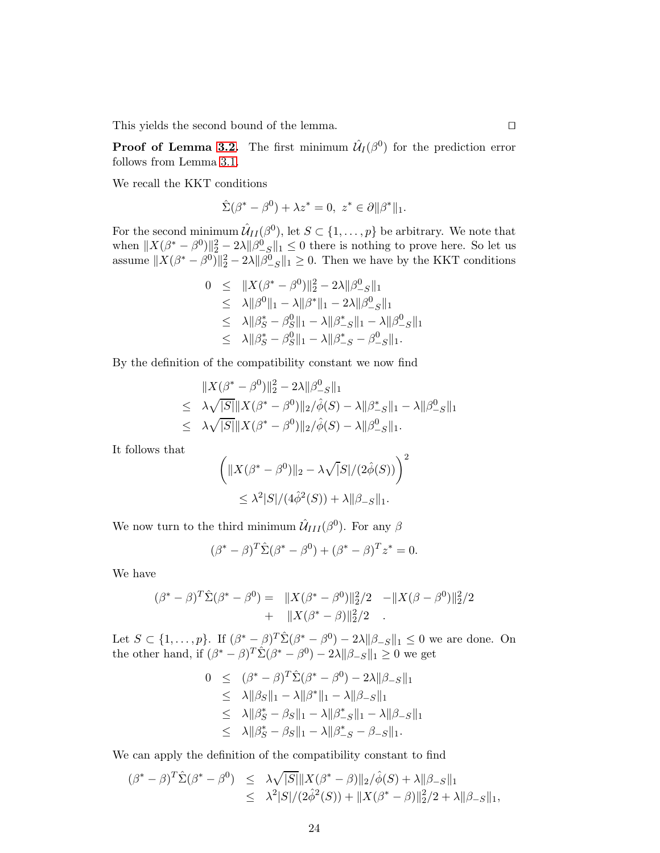This yields the second bound of the lemma. □

**Proof of Lemma [3.2.](#page-4-3)** The first minimum  $\hat{\mathcal{U}}_I(\beta^0)$  for the prediction error follows from Lemma [3.1.](#page-4-2)

We recall the KKT conditions

$$
\hat{\Sigma}(\beta^* - \beta^0) + \lambda z^* = 0, \ z^* \in \partial \|\beta^*\|_1.
$$

For the second minimum  $\hat{\mathcal{U}}_{II}(\beta^0)$ , let  $S \subset \{1, \ldots, p\}$  be arbitrary. We note that when  $||X(\beta^* - \beta^0)||_2^2 - 2\lambda ||\beta^0$  $\frac{1}{2}$  S = 0 there is nothing to prove here. So let us assume  $||X(\beta^* - \beta^0)||_2^2 - 2\lambda ||\beta^0$  $\binom{0}{-S}$ ||1 ≥ 0. Then we have by the KKT conditions

$$
0 \leq \|X(\beta^* - \beta^0)\|_2^2 - 2\lambda \|\beta_{-S}^0\|_1
$$
  
\n
$$
\leq \lambda \|\beta^0\|_1 - \lambda \|\beta^*\|_1 - 2\lambda \|\beta_{-S}^0\|_1
$$
  
\n
$$
\leq \lambda \|\beta_S^* - \beta_S^0\|_1 - \lambda \|\beta_{-S}^*\|_1 - \lambda \|\beta_{-S}^0\|_1
$$
  
\n
$$
\leq \lambda \|\beta_S^* - \beta_S^0\|_1 - \lambda \|\beta_{-S}^* - \beta_{-S}^0\|_1.
$$

By the definition of the compatibility constant we now find

$$
||X(\beta^* - \beta^0)||_2^2 - 2\lambda ||\beta^0_{-S}||_1
$$
  
\n
$$
\leq \lambda \sqrt{|S|} ||X(\beta^* - \beta^0)||_2/\hat{\phi}(S) - \lambda ||\beta^*_{-S}||_1 - \lambda ||\beta^0_{-S}||_1
$$
  
\n
$$
\leq \lambda \sqrt{|S|} ||X(\beta^* - \beta^0)||_2/\hat{\phi}(S) - \lambda ||\beta^0_{-S}||_1.
$$

It follows that

$$
\left( \|X(\beta^* - \beta^0)\|_2 - \lambda \sqrt{|S|/(2\hat{\phi}(S))} \right)^2
$$
  
 
$$
\leq \lambda^2 |S|/(4\hat{\phi}^2(S)) + \lambda \|\beta_{-S}\|_1.
$$

We now turn to the third minimum  $\hat{\mathcal{U}}_{III}(\beta^0)$ . For any  $\beta$ 

$$
(\beta^* - \beta)^T \hat{\Sigma} (\beta^* - \beta^0) + (\beta^* - \beta)^T z^* = 0.
$$

We have

$$
(\beta^* - \beta)^T \hat{\Sigma} (\beta^* - \beta^0) = ||X(\beta^* - \beta^0)||_2^2 / 2 - ||X(\beta - \beta^0)||_2^2 / 2 + ||X(\beta^* - \beta)||_2^2 / 2.
$$

Let  $S \subset \{1,\ldots,p\}$ . If  $(\beta^* - \beta)^T \hat{\Sigma} (\beta^* - \beta^0) - 2\lambda ||\beta_{-S}||_1 \leq 0$  we are done. On the other hand, if  $(\beta^* - \beta)^T \hat{\Sigma} (\beta^* - \beta^0) - 2\lambda ||\beta_{-S}||_1 \geq 0$  we get

$$
0 \leq (\beta^* - \beta)^T \hat{\Sigma} (\beta^* - \beta^0) - 2\lambda ||\beta_{-S}||_1
$$
  
\n
$$
\leq \lambda ||\beta_S||_1 - \lambda ||\beta^*||_1 - \lambda ||\beta_{-S}||_1
$$
  
\n
$$
\leq \lambda ||\beta_S^* - \beta_S||_1 - \lambda ||\beta_{-S}^*||_1 - \lambda ||\beta_{-S}||_1
$$
  
\n
$$
\leq \lambda ||\beta_S^* - \beta_S||_1 - \lambda ||\beta_{-S}^* - \beta_{-S}||_1.
$$

We can apply the definition of the compatibility constant to find

$$
\begin{array}{rcl}\n(\beta^* - \beta)^T \hat{\Sigma} (\beta^* - \beta^0) & \leq & \lambda \sqrt{|S|} \| X(\beta^* - \beta) \|_2 / \hat{\phi}(S) + \lambda \| \beta_{-S} \|_1 \\
& \leq & \lambda^2 |S| / (2\hat{\phi}^2(S)) + \| X(\beta^* - \beta) \|_2^2 / 2 + \lambda \| \beta_{-S} \|_1,\n\end{array}
$$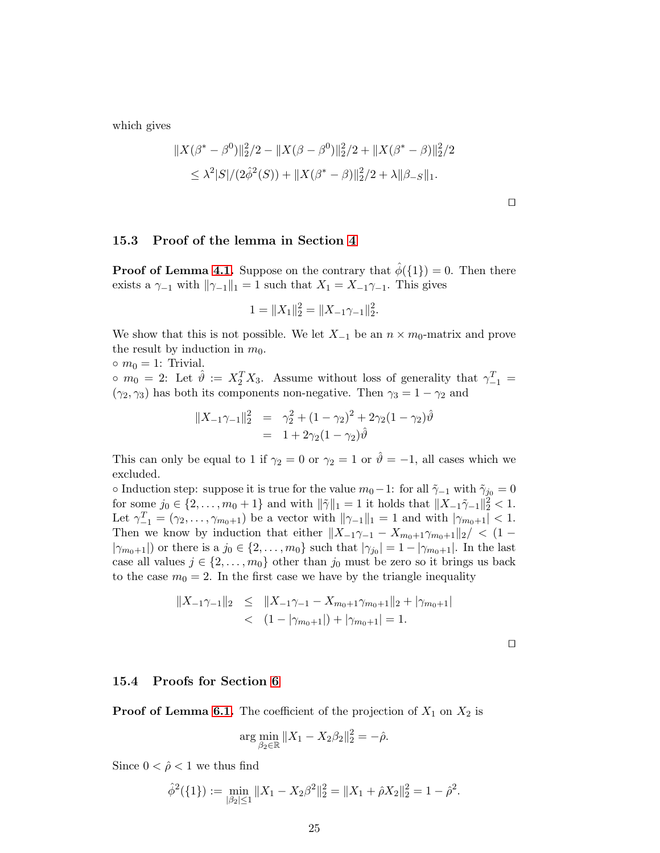which gives

$$
||X(\beta^* - \beta^0)||_2^2/2 - ||X(\beta - \beta^0)||_2^2/2 + ||X(\beta^* - \beta)||_2^2/2
$$
  
\n
$$
\leq \lambda^2 |S|/(2\hat{\phi}^2(S)) + ||X(\beta^* - \beta)||_2^2/2 + \lambda ||\beta - S||_1.
$$

⊔⊓

#### 15.3 Proof of the lemma in Section [4](#page-6-0)

**Proof of Lemma [4.1.](#page-6-2)** Suppose on the contrary that  $\phi({1}) = 0$ . Then there exists a  $\gamma_{-1}$  with  $\|\gamma_{-1}\|_1 = 1$  such that  $X_1 = X_{-1}\gamma_{-1}$ . This gives

$$
1 = \|X_1\|_2^2 = \|X_{-1}\gamma_{-1}\|_2^2.
$$

We show that this is not possible. We let  $X_{-1}$  be an  $n \times m_0$ -matrix and prove the result by induction in  $m_0$ .

 $\circ$   $m_0 = 1$ : Trivial.

 $\circ$   $m_0 = 2$ : Let  $\hat{\vartheta} := X_2^T X_3$ . Assume without loss of generality that  $\gamma_{-1}^T =$  $(\gamma_2, \gamma_3)$  has both its components non-negative. Then  $\gamma_3 = 1 - \gamma_2$  and

$$
||X_{-1}\gamma_{-1}||_2^2 = \gamma_2^2 + (1 - \gamma_2)^2 + 2\gamma_2(1 - \gamma_2)\hat{\vartheta}
$$
  
= 1 + 2\gamma\_2(1 - \gamma\_2)\hat{\vartheta}

This can only be equal to 1 if  $\gamma_2 = 0$  or  $\gamma_2 = 1$  or  $\hat{\theta} = -1$ , all cases which we excluded.

∘ Induction step: suppose it is true for the value  $m_0-1$ : for all  $\tilde{\gamma}_{-1}$  with  $\tilde{\gamma}_{j_0} = 0$ for some  $j_0 \in \{2, \ldots, m_0 + 1\}$  and with  $\|\tilde{\gamma}\|_1 = 1$  it holds that  $\|X_{-1}\tilde{\gamma}_{-1}\|_2^2 < 1$ . Let  $\gamma_{-1}^T = (\gamma_2, \ldots, \gamma_{m_0+1})$  be a vector with  $\|\gamma_{-1}\|_1 = 1$  and with  $|\gamma_{m_0+1}| < 1$ . Then we know by induction that either  $||X_{-1}\gamma_{-1} - X_{m_0+1}\gamma_{m_0+1}||_2$ / < (1 −  $|\gamma_{m_0+1}|$  or there is a  $j_0 \in \{2, \ldots, m_0\}$  such that  $|\gamma_{j_0}| = 1 - |\gamma_{m_0+1}|$ . In the last case all values  $j \in \{2, \ldots, m_0\}$  other than  $j_0$  must be zero so it brings us back to the case  $m_0 = 2$ . In the first case we have by the triangle inequality

$$
||X_{-1}\gamma_{-1}||_2 \le ||X_{-1}\gamma_{-1} - X_{m_0+1}\gamma_{m_0+1}||_2 + |\gamma_{m_0+1}|
$$
  
< 
$$
\langle 1 - |\gamma_{m_0+1}| \rangle + |\gamma_{m_0+1}| = 1.
$$

⊔⊓

### 15.4 Proofs for Section [6](#page-7-0)

**Proof of Lemma [6.1.](#page-7-2)** The coefficient of the projection of  $X_1$  on  $X_2$  is

$$
\arg\min_{\beta_2 \in \mathbb{R}} \|X_1 - X_2 \beta_2\|_2^2 = -\hat{\rho}.
$$

Since  $0 < \hat{\rho} < 1$  we thus find

$$
\hat{\phi}^2(\{1\}):=\min_{|\beta_2|\leq 1} \|X_1 - X_2\beta^2\|_2^2 = \|X_1 + \hat{\rho}X_2\|_2^2 = 1 - \hat{\rho}^2.
$$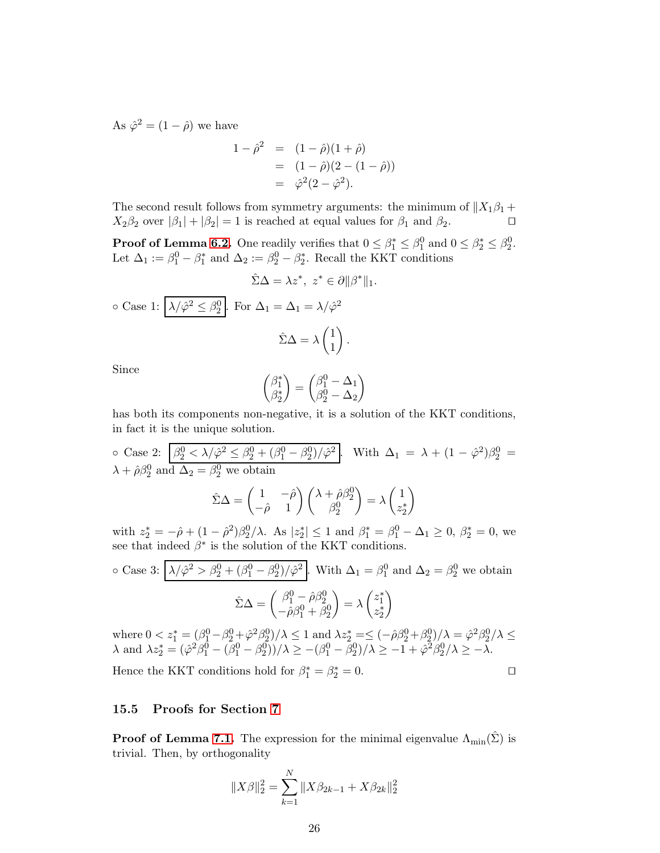As  $\hat{\varphi}^2 = (1 - \hat{\rho})$  we have

$$
1 - \hat{\rho}^2 = (1 - \hat{\rho})(1 + \hat{\rho})
$$
  
=  $(1 - \hat{\rho})(2 - (1 - \hat{\rho}))$   
=  $\hat{\varphi}^2(2 - \hat{\varphi}^2).$ 

The second result follows from symmetry arguments: the minimum of  $||X_1\beta_1 + X_2\beta_2$  over  $|\beta_1| + |\beta_2| = 1$  is reached at equal values for  $\beta_1$  and  $\beta_2$ .  $X_2\beta_2$  over  $|\beta_1| + |\beta_2| = 1$  is reached at equal values for  $\beta_1$  and  $\beta_2$ .

**Proof of Lemma [6.2.](#page-7-1)** One readily verifies that  $0 \leq \beta_1^* \leq \beta_1^0$  and  $0 \leq \beta_2^* \leq \beta_2^0$ . Let  $\Delta_1 := \beta_1^0 - \beta_1^*$  and  $\Delta_2 := \beta_2^0 - \beta_2^*$ . Recall the KKT conditions

$$
\hat{\Sigma}\Delta = \lambda z^*, \ z^* \in \partial ||\beta^*||_1.
$$
  
o Case 1:  $\lambda/\hat{\varphi}^2 \le \beta_2^0$ . For  $\Delta_1 = \Delta_1 = \lambda/\hat{\varphi}^2$   

$$
\hat{\Sigma}\Delta = \lambda \begin{pmatrix} 1 \\ 1 \end{pmatrix}.
$$

Since

$$
\begin{pmatrix} \beta_1^* \\ \beta_2^* \end{pmatrix} = \begin{pmatrix} \beta_1^0 - \Delta_1 \\ \beta_2^0 - \Delta_2 \end{pmatrix}
$$

has both its components non-negative, it is a solution of the KKT conditions, in fact it is the unique solution.

o Case 2: 
$$
\beta_2^0 < \lambda/\hat{\varphi}^2 \le \beta_2^0 + (\beta_1^0 - \beta_2^0)/\hat{\varphi}^2
$$
. With  $\Delta_1 = \lambda + (1 - \hat{\varphi}^2)\beta_2^0 = \lambda + \hat{\rho}\beta_2^0$  and  $\Delta_2 = \beta_2^0$  we obtain  

$$
\hat{\Sigma}\Delta = \begin{pmatrix} 1 & -\hat{\rho} \\ -\hat{\rho} & 1 \end{pmatrix} \begin{pmatrix} \lambda + \hat{\rho}\beta_2^0 \\ \beta_2^0 \end{pmatrix} = \lambda \begin{pmatrix} 1 \\ z_2^* \end{pmatrix}
$$

with  $z_2^* = -\hat{\rho} + (1 - \hat{\rho}^2)\beta_2^0/\lambda$ . As  $|z_2^*| \le 1$  and  $\beta_1^* = \beta_1^0 - \Delta_1 \ge 0$ ,  $\beta_2^* = 0$ , we see that indeed  $\beta^*$  is the solution of the KKT conditions.

o Case 3: 
$$
\[\lambda/\hat{\varphi}^2 > \beta_2^0 + (\beta_1^0 - \beta_2^0)/\hat{\varphi}^2\]
$$
. With  $\Delta_1 = \beta_1^0$  and  $\Delta_2 = \beta_2^0$  we obtain  

$$
\hat{\Sigma}\Delta = \begin{pmatrix} \beta_1^0 - \hat{\rho}\beta_2^0 \\ -\hat{\rho}\beta_1^0 + \beta_2^0 \end{pmatrix} = \lambda \begin{pmatrix} z_1^* \\ z_2^* \end{pmatrix}
$$

where  $0 < z_1^* = (\beta_1^0 - \beta_2^0 + \hat{\varphi}^2 \beta_2^0)/\lambda \le 1$  and  $\lambda z_2^* = \le (-\hat{\rho}\beta_2^0 + \beta_2^0)/\lambda = \hat{\varphi}^2 \beta_2^0/\lambda \le$  $\lambda$  and  $\lambda z_2^* = (\hat{\varphi}^2 \hat{\beta}_1^0 - (\bar{\beta}_1^0 - \beta_2^0))/\lambda \ge -(\beta_1^0 - \bar{\beta}_2^0)/\lambda \ge -1 + \hat{\varphi}^2 \hat{\beta}_2^0/\lambda \ge -\lambda.$ 

Hence the KKT conditions hold for  $\beta_1^* = \beta_2^* = 0$ .  $\Box$ 

#### 15.5 Proofs for Section [7](#page-8-0)

**Proof of Lemma [7.1.](#page-8-1)** The expression for the minimal eigenvalue  $\Lambda_{\text{min}}(\Sigma)$  is trivial. Then, by orthogonality

$$
||X\beta||_2^2 = \sum_{k=1}^N ||X\beta_{2k-1} + X\beta_{2k}||_2^2
$$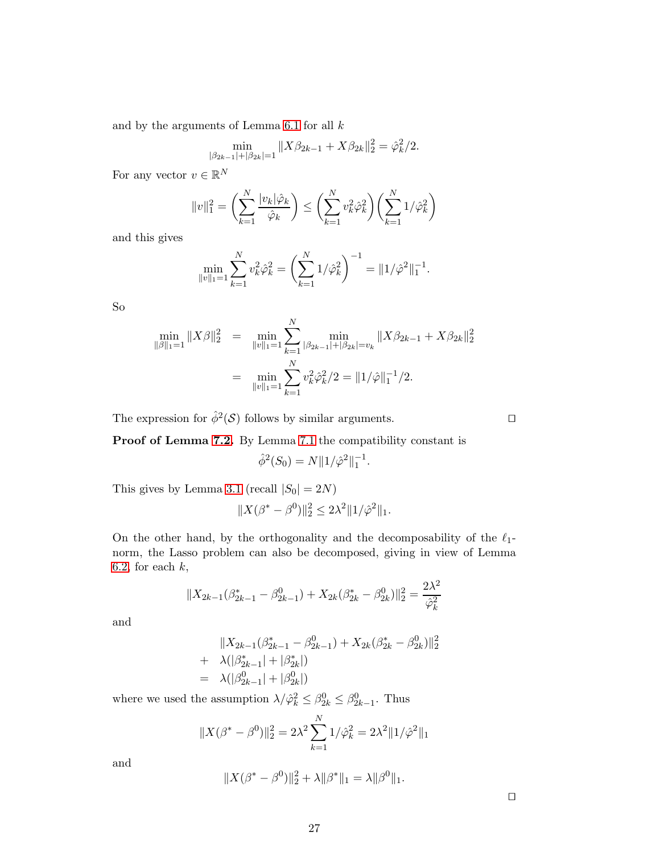and by the arguments of Lemma [6.1](#page-7-2) for all  $k$ 

$$
\min_{|\beta_{2k-1}|+|\beta_{2k}|=1} \|X\beta_{2k-1} + X\beta_{2k}\|_2^2 = \hat{\varphi}_k^2/2.
$$

For any vector  $v \in \mathbb{R}^N$ 

$$
||v||_1^2 = \left(\sum_{k=1}^N \frac{|v_k|\hat{\varphi}_k}{\hat{\varphi}_k}\right) \le \left(\sum_{k=1}^N v_k^2 \hat{\varphi}_k^2\right) \left(\sum_{k=1}^N 1/\hat{\varphi}_k^2\right)
$$

and this gives

$$
\min_{\|v\|_1=1} \sum_{k=1}^N v_k^2 \hat{\varphi}_k^2 = \left(\sum_{k=1}^N 1/\hat{\varphi}_k^2\right)^{-1} = \|1/\hat{\varphi}^2\|_1^{-1}.
$$

So

$$
\min_{\|\beta\|_1=1} \|X\beta\|_2^2 = \min_{\|v\|_1=1} \sum_{k=1}^N \min_{|\beta_{2k-1}|+|\beta_{2k}|=v_k} \|X\beta_{2k-1} + X\beta_{2k}\|_2^2
$$

$$
= \min_{\|v\|_1=1} \sum_{k=1}^N v_k^2 \hat{\varphi}_k^2 / 2 = \|1/\hat{\varphi}\|_1^{-1} / 2.
$$

The expression for  $\hat{\phi}^2(\mathcal{S})$  follows by similar arguments.  $\Box$ 

Proof of Lemma [7.2.](#page-9-1) By Lemma [7.1](#page-8-1) the compatibility constant is

$$
\hat{\phi}^2(S_0) = N \| 1 / \hat{\varphi}^2 \|_1^{-1}.
$$

This gives by Lemma [3.1](#page-4-2) (recall  $|S_0| = 2N$ )

$$
||X(\beta^* - \beta^0)||_2^2 \le 2\lambda^2 ||1/\hat{\varphi}^2||_1.
$$

On the other hand, by the orthogonality and the decomposability of the  $\ell_1$ norm, the Lasso problem can also be decomposed, giving in view of Lemma [6.2,](#page-7-1) for each  $k$ ,

$$
||X_{2k-1}(\beta_{2k-1}^* - \beta_{2k-1}^0) + X_{2k}(\beta_{2k}^* - \beta_{2k}^0)||_2^2 = \frac{2\lambda^2}{\hat{\varphi}_k^2}
$$

and

$$
||X_{2k-1}(\beta_{2k-1}^* - \beta_{2k-1}^0) + X_{2k}(\beta_{2k}^* - \beta_{2k}^0)||_2^2
$$
  
+  $\lambda(|\beta_{2k-1}^*| + |\beta_{2k}^*|)$   
=  $\lambda(|\beta_{2k-1}^0| + |\beta_{2k}^0|)$ 

where we used the assumption  $\lambda/\hat{\varphi}_k^2 \leq \beta_{2k}^0 \leq \beta_{2k-1}^0$ . Thus

$$
||X(\beta^* - \beta^0)||_2^2 = 2\lambda^2 \sum_{k=1}^N 1/\hat{\varphi}_k^2 = 2\lambda^2 ||1/\hat{\varphi}^2||_1
$$

and

$$
||X(\beta^* - \beta^0)||_2^2 + \lambda ||\beta^*||_1 = \lambda ||\beta^0||_1.
$$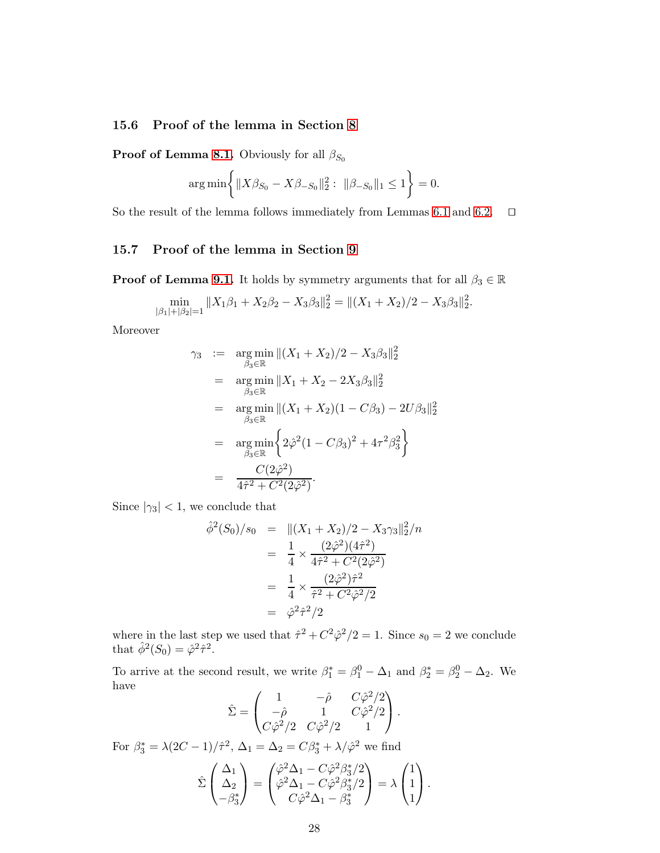### 15.6 Proof of the lemma in Section [8](#page-9-0)

**Proof of Lemma [8.1.](#page-9-2)** Obviously for all  $\beta_{S_0}$ 

$$
\arg\min\left\{\|X\beta_{S_0} - X\beta_{-S_0}\|_2^2: \ \|\beta_{-S_0}\|_1 \le 1\right\} = 0.
$$

So the result of the lemma follows immediately from Lemmas [6.1](#page-7-2) and [6.2.](#page-7-1) □

### 15.7 Proof of the lemma in Section [9](#page-10-0)

**Proof of Lemma [9.1.](#page-10-1)** It holds by symmetry arguments that for all  $\beta_3 \in \mathbb{R}$ 

$$
\min_{|\beta_1|+|\beta_2|=1} \|X_1\beta_1 + X_2\beta_2 - X_3\beta_3\|_2^2 = \|(X_1 + X_2)/2 - X_3\beta_3\|_2^2.
$$

Moreover

$$
\gamma_3 := \underset{\beta_3 \in \mathbb{R}}{\arg \min} ||(X_1 + X_2)/2 - X_3 \beta_3||_2^2
$$
  
\n
$$
= \underset{\beta_3 \in \mathbb{R}}{\arg \min} ||X_1 + X_2 - 2X_3 \beta_3||_2^2
$$
  
\n
$$
= \underset{\beta_3 \in \mathbb{R}}{\arg \min} ||(X_1 + X_2)(1 - C\beta_3) - 2U\beta_3||_2^2
$$
  
\n
$$
= \underset{\beta_3 \in \mathbb{R}}{\arg \min} \left\{ 2\hat{\varphi}^2 (1 - C\beta_3)^2 + 4\tau^2 \beta_3^2 \right\}
$$
  
\n
$$
= \frac{C(2\hat{\varphi}^2)}{4\hat{\tau}^2 + C^2(2\hat{\varphi}^2)}.
$$

Since  $|\gamma_3|$  < 1, we conclude that

$$
\hat{\phi}^2(S_0)/s_0 = ||(X_1 + X_2)/2 - X_3 \gamma_3||_2^2/n
$$
  
\n
$$
= \frac{1}{4} \times \frac{(2\hat{\varphi}^2)(4\hat{\tau}^2)}{4\hat{\tau}^2 + C^2(2\hat{\varphi}^2)}
$$
  
\n
$$
= \frac{1}{4} \times \frac{(2\hat{\varphi}^2)\hat{\tau}^2}{\hat{\tau}^2 + C^2\hat{\varphi}^2/2}
$$
  
\n
$$
= \hat{\varphi}^2 \hat{\tau}^2/2
$$

where in the last step we used that  $\hat{\tau}^2 + C^2 \hat{\varphi}^2/2 = 1$ . Since  $s_0 = 2$  we conclude that  $\hat{\phi}^2(S_0) = \hat{\varphi}^2 \hat{\tau}^2$ .

To arrive at the second result, we write  $\beta_1^* = \beta_1^0 - \Delta_1$  and  $\beta_2^* = \beta_2^0 - \Delta_2$ . We have

$$
\hat{\Sigma} = \begin{pmatrix} 1 & -\hat{\rho} & C\hat{\varphi}^2/2 \\ -\hat{\rho} & 1 & C\hat{\varphi}^2/2 \\ C\hat{\varphi}^2/2 & C\hat{\varphi}^2/2 & 1 \end{pmatrix}.
$$

For  $\beta_3^* = \lambda(2C - 1)/\hat{\tau}^2$ ,  $\Delta_1 = \Delta_2 = C\beta_3^* + \lambda/\hat{\varphi}^2$  we find

$$
\hat{\Sigma}\begin{pmatrix}\Delta_1\\ \Delta_2\\ -\beta_3^*\end{pmatrix} = \begin{pmatrix}\hat{\varphi}^2\Delta_1 - C\hat{\varphi}^2\beta_3^*/2\\ \hat{\varphi}^2\Delta_1 - C\hat{\varphi}^2\beta_3^*/2\\ C\hat{\varphi}^2\Delta_1 - \beta_3^*\end{pmatrix} = \lambda \begin{pmatrix}1\\ 1\\ 1\end{pmatrix}.
$$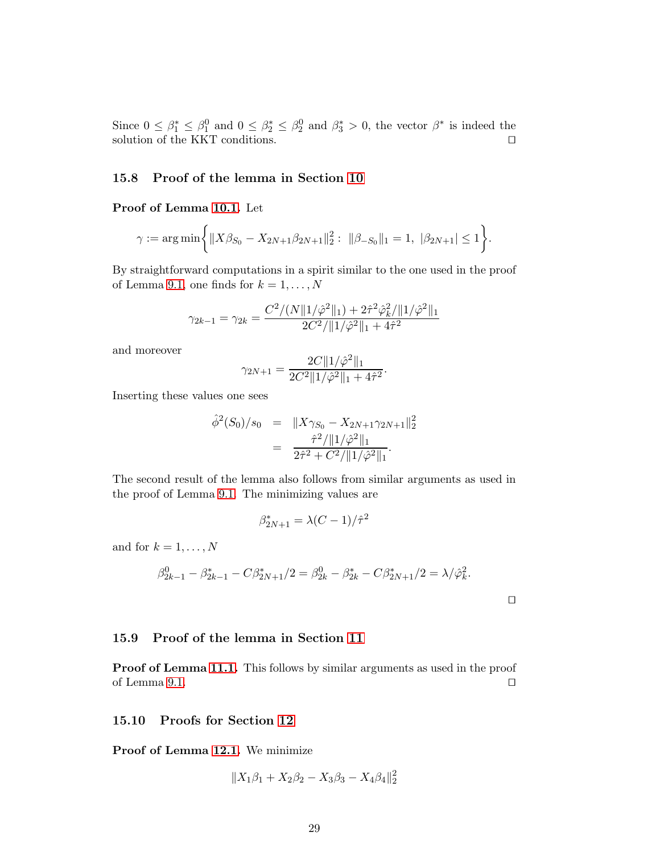Since  $0 \leq \beta_1^* \leq \beta_1^0$  and  $0 \leq \beta_2^* \leq \beta_2^0$  and  $\beta_3^* > 0$ , the vector  $\beta^*$  is indeed the solution of the KKT conditions.  $□$ 

#### 15.8 Proof of the lemma in Section [10](#page-11-0)

#### Proof of Lemma [10.1.](#page-11-1) Let

$$
\gamma := \arg \min \biggl\{ \| X \beta_{S_0} - X_{2N+1} \beta_{2N+1} \|_2^2 : \| \beta_{-S_0} \|_1 = 1, \ |\beta_{2N+1}| \le 1 \biggr\}.
$$

By straightforward computations in a spirit similar to the one used in the proof of Lemma [9.1,](#page-10-1) one finds for  $k = 1, \ldots, N$ 

$$
\gamma_{2k-1} = \gamma_{2k} = \frac{C^2/(N\|\mathbf{1}/\hat{\varphi}^2\|_1) + 2\hat{\tau}^2 \hat{\varphi}_k^2 / \|1/\hat{\varphi}^2\|_1}{2C^2/\|\mathbf{1}/\hat{\varphi}^2\|_1 + 4\hat{\tau}^2}
$$

and moreover

$$
\gamma_{2N+1} = \frac{2C \|1/\hat{\varphi}^2\|_1}{2C^2 \|1/\hat{\varphi}^2\|_1 + 4\hat{\tau}^2}.
$$

Inserting these values one sees

$$
\hat{\phi}^2(S_0)/s_0 = \|X\gamma_{S_0} - X_{2N+1}\gamma_{2N+1}\|_2^2
$$
  
= 
$$
\frac{\hat{\tau}^2/\|1/\hat{\varphi}^2\|_1}{2\hat{\tau}^2 + C^2/\|1/\hat{\varphi}^2\|_1}.
$$

The second result of the lemma also follows from similar arguments as used in the proof of Lemma [9.1.](#page-10-1) The minimizing values are

$$
\beta_{2N+1}^*=\lambda(C-1)/\hat{\tau}^2
$$

and for  $k = 1, \ldots, N$ 

$$
\beta_{2k-1}^0 - \beta_{2k-1}^* - C\beta_{2N+1}^*/2 = \beta_{2k}^0 - \beta_{2k}^* - C\beta_{2N+1}^*/2 = \lambda/\hat{\varphi}_k^2.
$$

#### 15.9 Proof of the lemma in Section [11](#page-12-0)

Proof of Lemma [11.1.](#page-12-2) This follows by similar arguments as used in the proof of Lemma [9.1.](#page-10-1) ⊔⊓

#### 15.10 Proofs for Section [12](#page-12-1)

Proof of Lemma [12.1.](#page-12-3) We minimize

$$
||X_1\beta_1 + X_2\beta_2 - X_3\beta_3 - X_4\beta_4||_2^2
$$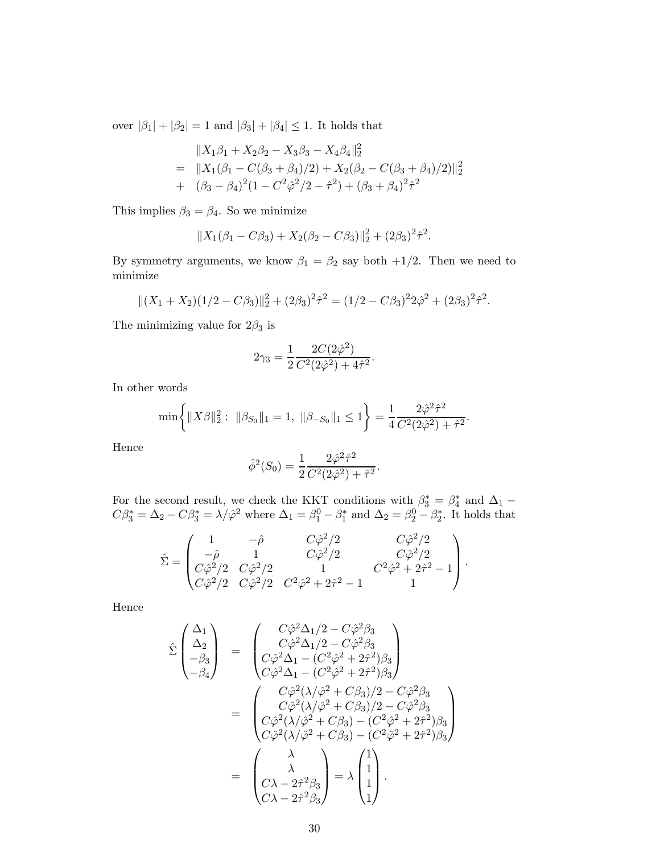over  $|\beta_1| + |\beta_2| = 1$  and  $|\beta_3| + |\beta_4| \leq 1.$  It holds that

$$
||X_1\beta_1 + X_2\beta_2 - X_3\beta_3 - X_4\beta_4||_2^2
$$
  
= 
$$
||X_1(\beta_1 - C(\beta_3 + \beta_4)/2) + X_2(\beta_2 - C(\beta_3 + \beta_4)/2)||_2^2
$$
  
+ 
$$
(\beta_3 - \beta_4)^2(1 - C^2\hat{\varphi}^2/2 - \hat{\tau}^2) + (\beta_3 + \beta_4)^2\hat{\tau}^2
$$

This implies  $\beta_3 = \beta_4$ . So we minimize

$$
||X_1(\beta_1 - C\beta_3) + X_2(\beta_2 - C\beta_3)||_2^2 + (2\beta_3)^2 \hat{\tau}^2.
$$

By symmetry arguments, we know  $\beta_1 = \beta_2$  say both  $+1/2$ . Then we need to minimize

$$
||(X_1 + X_2)(1/2 - C\beta_3)||_2^2 + (2\beta_3)^2 \hat{\tau}^2 = (1/2 - C\beta_3)^2 2\hat{\varphi}^2 + (2\beta_3)^2 \hat{\tau}^2.
$$

The minimizing value for  $2\beta_3$  is

$$
2\gamma_3 = \frac{1}{2} \frac{2C(2\hat{\varphi}^2)}{C^2(2\hat{\varphi}^2) + 4\hat{\tau}^2}.
$$

In other words

$$
\min\left\{\|X\beta\|_2^2:\ \|\beta_{S_0}\|_1=1,\ \|\beta_{-S_0}\|_1\leq 1\right\}=\frac{1}{4}\frac{2\hat{\varphi}^2\hat{\tau}^2}{C^2(2\hat{\varphi}^2)+\hat{\tau}^2}.
$$

Hence

$$
\hat{\phi}^2(S_0) = \frac{1}{2} \frac{2\hat{\varphi}^2 \hat{\tau}^2}{C^2(2\hat{\varphi}^2) + \hat{\tau}^2}.
$$

For the second result, we check the KKT conditions with  $\beta_3^* = \beta_4^*$  and  $\Delta_1$  –  $C\beta_3^* = \Delta_2 - C\beta_3^* = \lambda/\hat{\varphi}^2$  where  $\Delta_1 = \beta_1^0 - \beta_1^*$  and  $\Delta_2 = \beta_2^0 - \beta_2^*$ . It holds that

$$
\hat{\Sigma} = \begin{pmatrix} 1 & -\hat{\rho} & C\hat{\varphi}^2/2 & C\hat{\varphi}^2/2 \\ -\hat{\rho} & 1 & C\hat{\varphi}^2/2 & C\hat{\varphi}^2/2 \\ C\hat{\varphi}^2/2 & C\hat{\varphi}^2/2 & 1 & C^2\hat{\varphi}^2 + 2\hat{\tau}^2 - 1 \\ C\hat{\varphi}^2/2 & C\hat{\varphi}^2/2 & C^2\hat{\varphi}^2 + 2\hat{\tau}^2 - 1 & 1 \end{pmatrix}.
$$

Hence

$$
\hat{\Sigma} \begin{pmatrix} \Delta_1 \\ \Delta_2 \\ -\beta_3 \\ -\beta_4 \end{pmatrix} = \begin{pmatrix} C\hat{\varphi}^2 \Delta_1/2 - C\hat{\varphi}^2 \beta_3 \\ C\hat{\varphi}^2 \Delta_1 - (C^2\hat{\varphi}^2 + 2\hat{\tau}^2)\beta_3 \\ C\hat{\varphi}^2 \Delta_1 - (C^2\hat{\varphi}^2 + 2\hat{\tau}^2)\beta_3 \end{pmatrix}
$$

$$
= \begin{pmatrix} C\hat{\varphi}^2(\lambda/\hat{\varphi}^2 + C\beta_3)/2 - C\hat{\varphi}^2\beta_3 \\ C\hat{\varphi}^2(\lambda/\hat{\varphi}^2 + C\beta_3)/2 - C\hat{\varphi}^2\beta_3 \\ C\hat{\varphi}^2(\lambda/\hat{\varphi}^2 + C\beta_3) - (C^2\hat{\varphi}^2 + 2\hat{\tau}^2)\beta_3 \\ C\hat{\varphi}^2(\lambda/\hat{\varphi}^2 + C\beta_3) - (C^2\hat{\varphi}^2 + 2\hat{\tau}^2)\beta_3 \end{pmatrix}
$$

$$
= \begin{pmatrix} \lambda \\ \lambda \\ C\lambda - 2\hat{\tau}^2\beta_3 \\ C\lambda - 2\hat{\tau}^2\beta_3 \end{pmatrix} = \lambda \begin{pmatrix} 1 \\ 1 \\ 1 \\ 1 \end{pmatrix}.
$$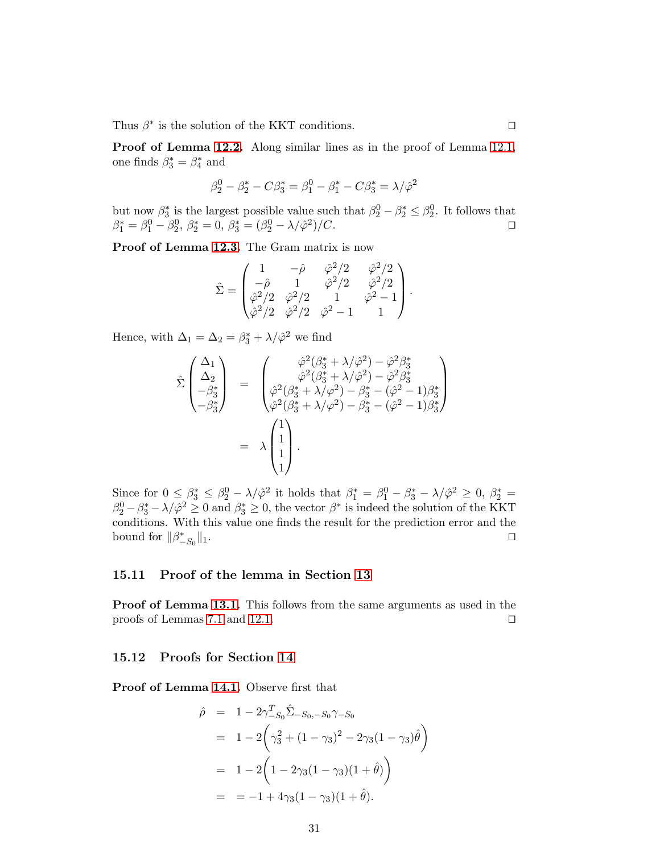Thus  $\beta^*$  is the solution of the KKT conditions. □

Proof of Lemma [12.2.](#page-13-0) Along similar lines as in the proof of Lemma [12.1,](#page-12-3) one finds  $\beta_3^* = \beta_4^*$  and

$$
\beta_2^0 - \beta_2^* - C\beta_3^* = \beta_1^0 - \beta_1^* - C\beta_3^* = \lambda/\hat{\varphi}^2
$$

but now  $\beta_3^*$  is the largest possible value such that  $\beta_2^0 - \beta_2^* \leq \beta_2^0$ . It follows that  $\beta_1^* = \beta_1^0 - \beta_2^0$ ,  $\beta_2^* = 0$ ,  $\beta_3^* = (\beta_2^0 - \lambda/\hat{\varphi}^2)/C$ .  $\Box$ 

Proof of Lemma [12.3.](#page-13-1) The Gram matrix is now

$$
\hat{\Sigma} = \begin{pmatrix} 1 & -\hat{\rho} & \hat{\varphi}^2/2 & \hat{\varphi}^2/2 \\ -\hat{\rho} & 1 & \hat{\varphi}^2/2 & \hat{\varphi}^2/2 \\ \hat{\varphi}^2/2 & \hat{\varphi}^2/2 & 1 & \hat{\varphi}^2 - 1 \\ \hat{\varphi}^2/2 & \hat{\varphi}^2/2 & \hat{\varphi}^2 - 1 & 1 \end{pmatrix}.
$$

Hence, with  $\Delta_1 = \Delta_2 = \beta_3^* + \lambda/\hat{\varphi}^2$  we find

$$
\hat{\Sigma} \begin{pmatrix} \Delta_1 \\ \Delta_2 \\ -\beta_3^* \end{pmatrix} = \begin{pmatrix} \hat{\varphi}^2 (\beta_3^* + \lambda/\hat{\varphi}^2) - \hat{\varphi}^2 \beta_3^* \\ \hat{\varphi}^2 (\beta_3^* + \lambda/\hat{\varphi}^2) - \hat{\varphi}^2 \beta_3^* \\ \hat{\varphi}^2 (\beta_3^* + \lambda/\hat{\varphi}^2) - \beta_3^* - (\hat{\varphi}^2 - 1)\beta_3^* \\ \hat{\varphi}^2 (\beta_3^* + \lambda/\varphi^2) - \beta_3^* - (\hat{\varphi}^2 - 1)\beta_3^* \end{pmatrix}
$$

$$
= \lambda \begin{pmatrix} 1 \\ 1 \\ 1 \\ 1 \end{pmatrix}.
$$

Since for  $0 \leq \beta_3^* \leq \beta_2^0 - \lambda/\hat{\varphi}^2$  it holds that  $\beta_1^* = \beta_1^0 - \beta_3^* - \lambda/\hat{\varphi}^2 \geq 0$ ,  $\beta_2^* =$  $\beta_2^0 - \beta_3^* - \lambda/\hat{\varphi}^2 \ge 0$  and  $\beta_3^* \ge 0$ , the vector  $\beta^*$  is indeed the solution of the KKT conditions. With this value one finds the result for the prediction error and the bound for  $||\beta^*_{-S_0}$ k1. ⊔⊓

### 15.11 Proof of the lemma in Section [13](#page-14-0)

Proof of Lemma [13.1.](#page-14-2) This follows from the same arguments as used in the proofs of Lemmas [7.1](#page-8-1) and [12.1.](#page-12-3) □

### 15.12 Proofs for Section [14](#page-14-1)

Proof of Lemma [14.1.](#page-15-1) Observe first that

$$
\hat{\rho} = 1 - 2\gamma_{-S_0}^T \hat{\Sigma}_{-S_0, -S_0} \gamma_{-S_0}
$$
  
=  $1 - 2\left(\gamma_3^2 + (1 - \gamma_3)^2 - 2\gamma_3(1 - \gamma_3)\hat{\theta}\right)$   
=  $1 - 2\left(1 - 2\gamma_3(1 - \gamma_3)(1 + \hat{\theta})\right)$   
=  $= -1 + 4\gamma_3(1 - \gamma_3)(1 + \hat{\theta}).$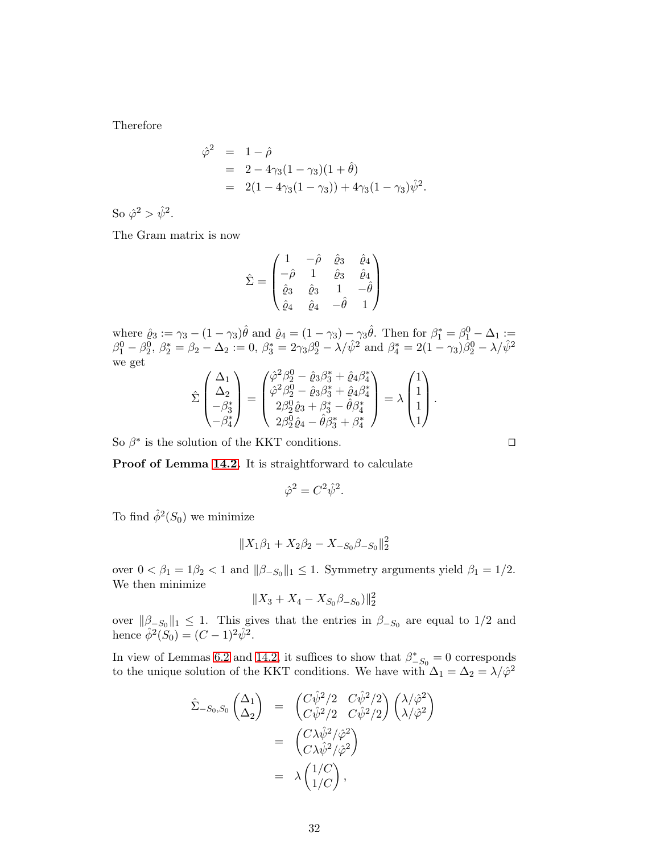Therefore

$$
\hat{\varphi}^2 = 1 - \hat{\rho} \n= 2 - 4\gamma_3(1 - \gamma_3)(1 + \hat{\theta}) \n= 2(1 - 4\gamma_3(1 - \gamma_3)) + 4\gamma_3(1 - \gamma_3)\hat{\psi}^2.
$$

So  $\hat{\varphi}^2 > \hat{\psi}^2$ .

The Gram matrix is now

$$
\hat{\Sigma} = \begin{pmatrix}\n1 & -\hat{\rho} & \hat{\varrho}_3 & \hat{\varrho}_4 \\
-\hat{\rho} & 1 & \hat{\varrho}_3 & \hat{\varrho}_4 \\
\hat{\varrho}_3 & \hat{\varrho}_3 & 1 & -\hat{\theta} \\
\hat{\varrho}_4 & \hat{\varrho}_4 & -\hat{\theta} & 1\n\end{pmatrix}
$$

where  $\hat{\varrho}_3 := \gamma_3 - (1 - \gamma_3)\hat{\theta}$  and  $\hat{\varrho}_4 = (1 - \gamma_3) - \gamma_3\hat{\theta}$ . Then for  $\beta_1^* = \beta_1^0 - \Delta_1 :=$  $\beta_1^0 - \beta_2^0$ ,  $\beta_2^* = \beta_2 - \Delta_2 := 0$ ,  $\beta_3^* = 2\gamma_3\beta_2^0 - \lambda/\hat{\psi}^2$  and  $\beta_4^* = 2(1 - \gamma_3)\hat{\beta}_2^0 - \lambda/\hat{\psi}^2$ we get

$$
\hat{\Sigma}\begin{pmatrix}\Delta_1\\ \Delta_2\\ -\beta_3^* \\ -\beta_4^*\end{pmatrix} = \begin{pmatrix}\hat{\varphi}^2\beta_2^0 - \hat{\varrho}_3\beta_3^* + \hat{\varrho}_4\beta_4^*\\ \hat{\varphi}^2\beta_2^0 - \hat{\varrho}_3\beta_3^* + \hat{\varrho}_4\beta_4^*\\ 2\beta_2^0\hat{\varrho}_3 + \beta_3^* - \hat{\theta}\beta_4^*\\ 2\beta_2^0\hat{\varrho}_4 - \hat{\theta}\beta_3^* + \beta_4^*\end{pmatrix} = \lambda\begin{pmatrix}1\\ 1\\ 1\\ 1\end{pmatrix}.
$$

So  $\beta^*$  is the solution of the KKT conditions. □

Proof of Lemma [14.2.](#page-15-0) It is straightforward to calculate

$$
\hat{\varphi}^2 = C^2 \hat{\psi}^2.
$$

To find  $\hat{\phi}^2(S_0)$  we minimize

$$
\| X_1 \beta_1 + X_2 \beta_2 - X_{-S_0} \beta_{-S_0} \|_2^2
$$

over  $0 < \beta_1 = 1\beta_2 < 1$  and  $\|\beta_{-S_0}\|_1 \leq 1$ . Symmetry arguments yield  $\beta_1 = 1/2$ . We then minimize

$$
\|X_3+X_4-X_{S_0}\beta_{-S_0})\|_2^2
$$

over  $\|\beta_{-S_0}\|_1 \leq 1$ . This gives that the entries in  $\beta_{-S_0}$  are equal to 1/2 and hence  $\hat{\phi}^2(S_0) = (C - 1)^2 \hat{\psi}^2$ .

In view of Lemmas [6.2](#page-7-1) and [14.2,](#page-15-0) it suffices to show that  $\beta_{-S_0}^* = 0$  corresponds to the unique solution of the KKT conditions. We have with  $\Delta_1 = \Delta_2 = \lambda/\hat{\varphi}^2$ 

$$
\hat{\Sigma}_{-S_0, S_0} \begin{pmatrix} \Delta_1 \\ \Delta_2 \end{pmatrix} = \begin{pmatrix} C\hat{\psi}^2/2 & C\hat{\psi}^2/2 \\ C\hat{\psi}^2/2 & C\hat{\psi}^2/2 \end{pmatrix} \begin{pmatrix} \lambda/\hat{\varphi}^2 \\ \lambda/\hat{\varphi}^2 \end{pmatrix}
$$

$$
= \begin{pmatrix} C\lambda \hat{\psi}^2/\hat{\varphi}^2 \\ C\lambda \hat{\psi}^2/\hat{\varphi}^2 \end{pmatrix}
$$

$$
= \lambda \begin{pmatrix} 1/C \\ 1/C \end{pmatrix},
$$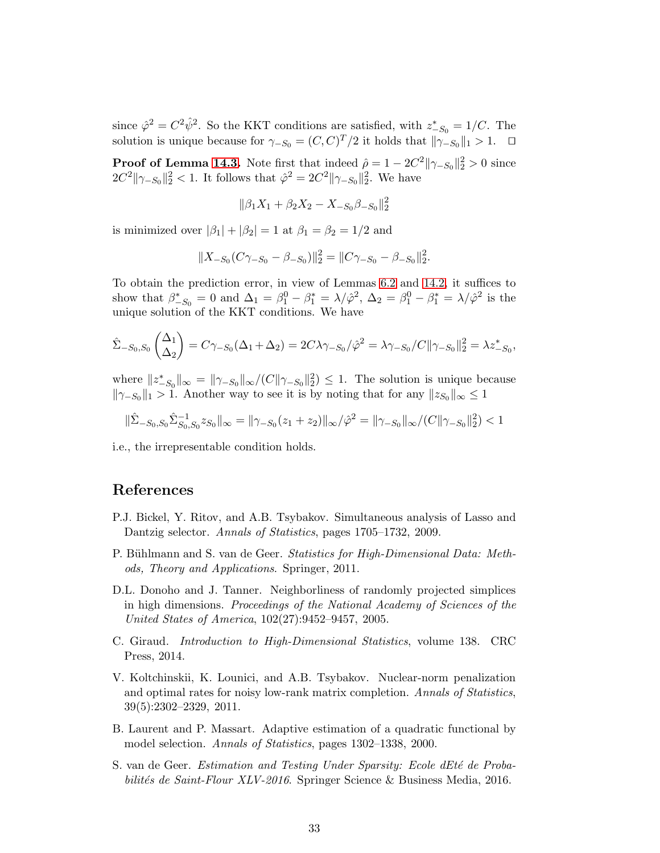since  $\hat{\varphi}^2 = C^2 \hat{\psi}^2$ . So the KKT conditions are satisfied, with  $z_{-S_0}^* = 1/C$ . The solution is unique because for  $\gamma_{-S_0} = (C, C)^T/2$  it holds that  $\|\gamma_{-S_0}\|_1 > 1$ .  $\Box$ 

**Proof of Lemma [14.3.](#page-16-0)** Note first that indeed  $\hat{\rho} = 1 - 2C^2 ||\gamma_{-S_0}||_2^2 > 0$  since  $2C^2 \|\gamma_{-S_0}\|_2^2 < 1$ . It follows that  $\hat{\varphi}^2 = 2C^2 \|\gamma_{-S_0}\|_2^2$ . We have

$$
\|\beta_1 X_1 + \beta_2 X_2 - X_{-S_0}\beta_{-S_0}\|_2^2
$$

is minimized over  $|\beta_1| + |\beta_2| = 1$  at  $\beta_1 = \beta_2 = 1/2$  and

$$
||X_{-S_0}(C\gamma_{-S_0}-\beta_{-S_0})||_2^2=||C\gamma_{-S_0}-\beta_{-S_0}||_2^2.
$$

To obtain the prediction error, in view of Lemmas [6.2](#page-7-1) and [14.2,](#page-15-0) it suffices to show that  $\beta_{-S_0}^* = 0$  and  $\Delta_1 = \beta_1^0 - \beta_1^* = \lambda/\hat{\varphi}^2$ ,  $\Delta_2 = \beta_1^0 - \beta_1^* = \lambda/\hat{\varphi}^2$  is the unique solution of the KKT conditions. We have

$$
\hat{\Sigma}_{-S_0,S_0} \begin{pmatrix} \Delta_1 \\ \Delta_2 \end{pmatrix} = C\gamma_{-S_0}(\Delta_1 + \Delta_2) = 2C\lambda\gamma_{-S_0}/\hat{\varphi}^2 = \lambda\gamma_{-S_0}/C||\gamma_{-S_0}||_2^2 = \lambda z_{-S_0}^*,
$$

where  $||z^*_{-S_0}||_{\infty} = ||\gamma_{-S_0}||_{\infty}/(C||\gamma_{-S_0}||_2^2) \leq 1$ . The solution is unique because  $\|\gamma_{-S_0}\|_1 > 1$ . Another way to see it is by noting that for any  $\|z_{S_0}\|_{\infty} \leq 1$ 

$$
\|\hat{\Sigma}_{-S_0,S_0}\hat{\Sigma}_{S_0,S_0}^{-1}z_{S_0}\|_{\infty} = \|\gamma_{-S_0}(z_1+z_2)\|_{\infty}/\hat{\varphi}^2 = \|\gamma_{-S_0}\|_{\infty}/(C\|\gamma_{-S_0}\|_2^2) < 1
$$

i.e., the irrepresentable condition holds.

### References

- <span id="page-32-5"></span>P.J. Bickel, Y. Ritov, and A.B. Tsybakov. Simultaneous analysis of Lasso and Dantzig selector. Annals of Statistics, pages 1705–1732, 2009.
- <span id="page-32-2"></span>P. Bühlmann and S. van de Geer. Statistics for High-Dimensional Data: Methods, Theory and Applications. Springer, 2011.
- <span id="page-32-1"></span>D.L. Donoho and J. Tanner. Neighborliness of randomly projected simplices in high dimensions. Proceedings of the National Academy of Sciences of the United States of America, 102(27):9452–9457, 2005.
- <span id="page-32-4"></span>C. Giraud. Introduction to High-Dimensional Statistics, volume 138. CRC Press, 2014.
- <span id="page-32-3"></span>V. Koltchinskii, K. Lounici, and A.B. Tsybakov. Nuclear-norm penalization and optimal rates for noisy low-rank matrix completion. Annals of Statistics, 39(5):2302–2329, 2011.
- <span id="page-32-6"></span>B. Laurent and P. Massart. Adaptive estimation of a quadratic functional by model selection. Annals of Statistics, pages 1302–1338, 2000.
- <span id="page-32-0"></span>S. van de Geer. Estimation and Testing Under Sparsity: Ecole dEté de Probabilités de Saint-Flour XLV-2016. Springer Science & Business Media, 2016.